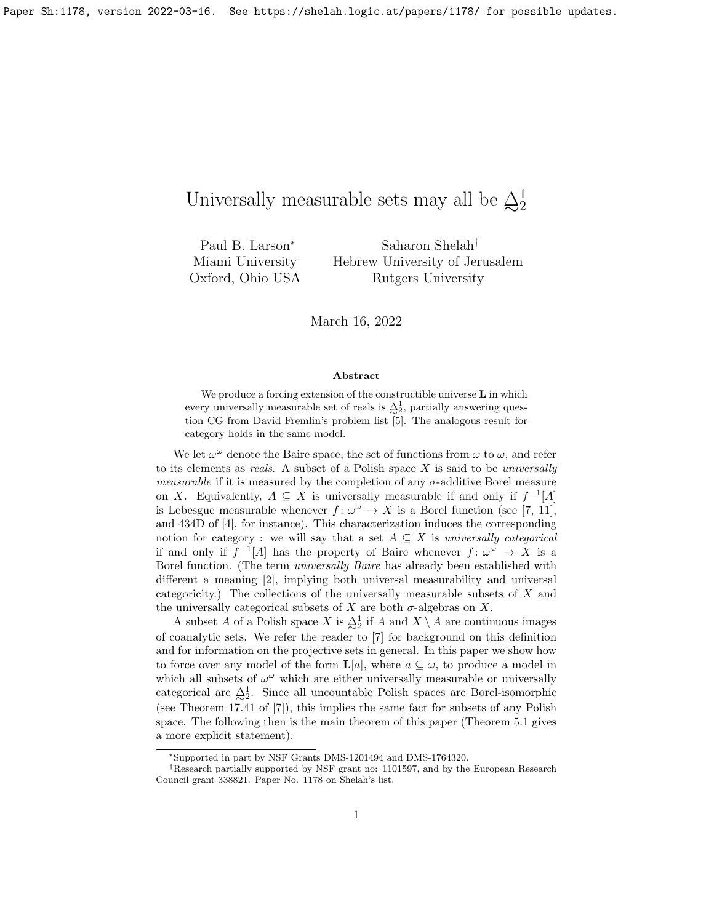# Universally measurable sets may all be  $\triangle_2^1$ 2

Paul B. Larson<sup>∗</sup> Miami University Oxford, Ohio USA

Saharon Shelah† Hebrew University of Jerusalem Rutgers University

March 16, 2022

### Abstract

We produce a forcing extension of the constructible universe  $L$  in which every universally measurable set of reals is  $\frac{\Delta_1^1}{\sim}$  partially answering question CG from David Fremlin's problem list [5]. The analogous result for category holds in the same model.

We let  $\omega^{\omega}$  denote the Baire space, the set of functions from  $\omega$  to  $\omega$ , and refer to its elements as *reals*. A subset of a Polish space  $X$  is said to be *universally measurable* if it is measured by the completion of any  $\sigma$ -additive Borel measure on X. Equivalently,  $A \subseteq X$  is universally measurable if and only if  $f^{-1}[A]$ is Lebesgue measurable whenever  $f: \omega^{\omega} \to X$  is a Borel function (see [7, 11], and 434D of [4], for instance). This characterization induces the corresponding notion for category : we will say that a set  $A \subseteq X$  is universally categorical if and only if  $f^{-1}[A]$  has the property of Baire whenever  $f: \omega^{\omega} \to X$  is a Borel function. (The term universally Baire has already been established with different a meaning [2], implying both universal measurability and universal categoricity.) The collections of the universally measurable subsets of X and the universally categorical subsets of  $X$  are both  $\sigma$ -algebras on  $X$ .

A subset A of a Polish space X is  $\frac{\Delta^1}{\Delta^2}$  if A and  $X \setminus A$  are continuous images of coanalytic sets. We refer the reader to [7] for background on this definition and for information on the projective sets in general. In this paper we show how to force over any model of the form  $\mathbf{L}[a]$ , where  $a \subseteq \omega$ , to produce a model in which all subsets of  $\omega^{\omega}$  which are either universally measurable or universally categorical are  $\Delta^1_2$ . Since all uncountable Polish spaces are Borel-isomorphic (see Theorem 17.41 of [7]), this implies the same fact for subsets of any Polish space. The following then is the main theorem of this paper (Theorem 5.1 gives a more explicit statement).

<sup>∗</sup>Supported in part by NSF Grants DMS-1201494 and DMS-1764320.

<sup>†</sup>Research partially supported by NSF grant no: 1101597, and by the European Research Council grant 338821. Paper No. 1178 on Shelah's list.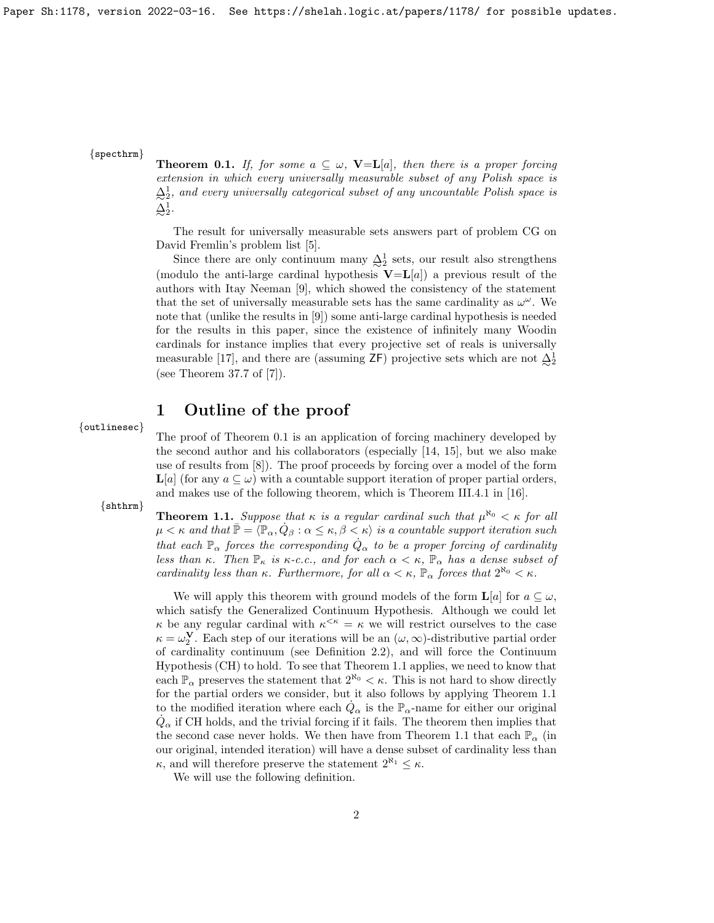### {specthrm}

**Theorem 0.1.** If, for some  $a \subseteq \omega$ , **V**=**L**[a], then there is a proper forcing extension in which every universally measurable subset of any Polish space is  $\Delta_2^1$ , and every universally categorical subset of any uncountable Polish space is  $\Delta^1_2$ .

The result for universally measurable sets answers part of problem CG on David Fremlin's problem list [5].

Since there are only continuum many  $\Delta_2^1$  sets, our result also strengthens (modulo the anti-large cardinal hypothesis  $V=L[a]$ ) a previous result of the authors with Itay Neeman [9], which showed the consistency of the statement that the set of universally measurable sets has the same cardinality as  $\omega^{\omega}$ . We note that (unlike the results in [9]) some anti-large cardinal hypothesis is needed for the results in this paper, since the existence of infinitely many Woodin cardinals for instance implies that every projective set of reals is universally measurable [17], and there are (assuming ZF) projective sets which are not  $\frac{\Delta}{2}$ <sup>1</sup> (see Theorem 37.7 of [7]).

# 1 Outline of the proof

{outlinesec}

The proof of Theorem 0.1 is an application of forcing machinery developed by the second author and his collaborators (especially [14, 15], but we also make use of results from [8]). The proof proceeds by forcing over a model of the form  $\mathbf{L}[a]$  (for any  $a \subseteq \omega$ ) with a countable support iteration of proper partial orders, and makes use of the following theorem, which is Theorem III.4.1 in [16].

{shthrm}

**Theorem 1.1.** Suppose that  $\kappa$  is a regular cardinal such that  $\mu^{\aleph_0} < \kappa$  for all  $\mu < \kappa$  and that  $\bar{\mathbb{P}} = \langle \mathbb{P}_{\alpha}, \dot{Q}_{\beta} : \alpha \leq \kappa, \beta < \kappa \rangle$  is a countable support iteration such that each  $\mathbb{P}_{\alpha}$  forces the corresponding  $\dot{Q}_{\alpha}$  to be a proper forcing of cardinality less than κ. Then  $\mathbb{P}_{\kappa}$  is κ-c.c., and for each  $\alpha < \kappa$ ,  $\mathbb{P}_{\alpha}$  has a dense subset of cardinality less than  $\kappa$ . Furthermore, for all  $\alpha < \kappa$ ,  $\mathbb{P}_{\alpha}$  forces that  $2^{\aleph_0} < \kappa$ .

We will apply this theorem with ground models of the form  $\mathbf{L}[a]$  for  $a \subseteq \omega$ , which satisfy the Generalized Continuum Hypothesis. Although we could let  $\kappa$  be any regular cardinal with  $\kappa^{\leq \kappa} = \kappa$  we will restrict ourselves to the case  $\kappa = \omega_2^{\mathbf{V}}$ . Each step of our iterations will be an  $(\omega, \infty)$ -distributive partial order of cardinality continuum (see Definition 2.2), and will force the Continuum Hypothesis (CH) to hold. To see that Theorem 1.1 applies, we need to know that each  $\mathbb{P}_{\alpha}$  preserves the statement that  $2^{\aleph_0} < \kappa$ . This is not hard to show directly for the partial orders we consider, but it also follows by applying Theorem 1.1 to the modified iteration where each  $\dot{Q}_{\alpha}$  is the  $\mathbb{P}_{\alpha}$ -name for either our original  $\dot{Q}_{\alpha}$  if CH holds, and the trivial forcing if it fails. The theorem then implies that the second case never holds. We then have from Theorem 1.1 that each  $\mathbb{P}_{\alpha}$  (in our original, intended iteration) will have a dense subset of cardinality less than  $\kappa$ , and will therefore preserve the statement  $2^{\aleph_1} \leq \kappa$ .

We will use the following definition.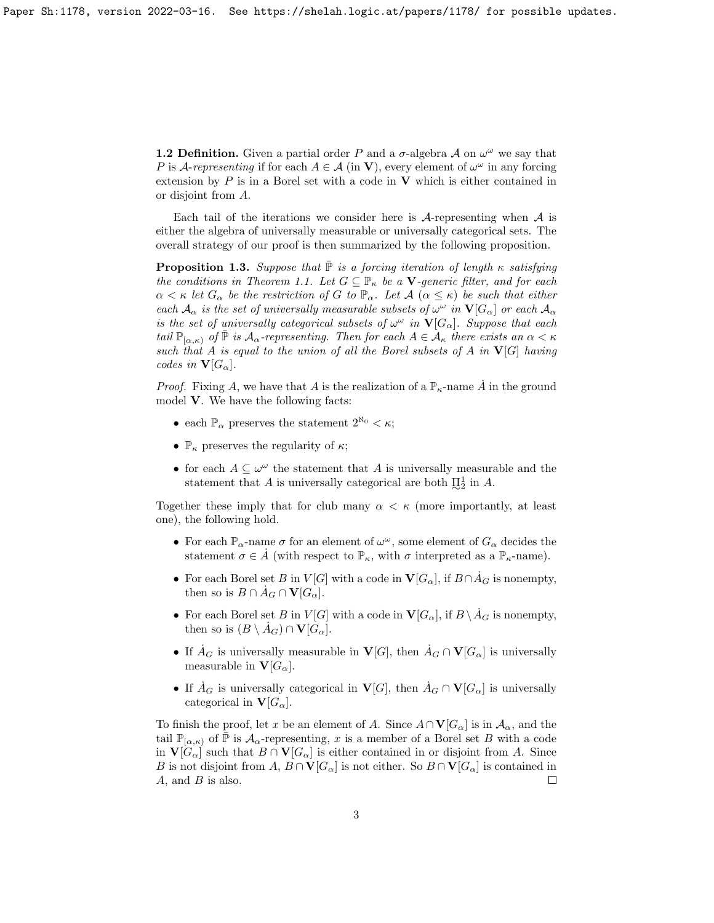**1.2 Definition.** Given a partial order P and a  $\sigma$ -algebra A on  $\omega^{\omega}$  we say that P is A-representing if for each  $A \in \mathcal{A}$  (in V), every element of  $\omega^{\omega}$  in any forcing extension by  $P$  is in a Borel set with a code in  $V$  which is either contained in or disjoint from A.

Each tail of the iterations we consider here is  $A$ -representing when  $A$  is either the algebra of universally measurable or universally categorical sets. The overall strategy of our proof is then summarized by the following proposition.

**Proposition 1.3.** Suppose that  $\overline{P}$  is a forcing iteration of length  $\kappa$  satisfying the conditions in Theorem 1.1. Let  $G \subseteq \mathbb{P}_{\kappa}$  be a **V**-generic filter, and for each  $\alpha < \kappa$  let  $G_{\alpha}$  be the restriction of G to  $\mathbb{P}_{\alpha}$ . Let  $\mathcal{A}$   $(\alpha \leq \kappa)$  be such that either each  $A_\alpha$  is the set of universally measurable subsets of  $\omega^\omega$  in  $V[G_\alpha]$  or each  $A_\alpha$ is the set of universally categorical subsets of  $\omega^{\omega}$  in  $V[G_{\alpha}]$ . Suppose that each tail  $\mathbb{P}_{[\alpha,\kappa)}$  of  $\mathbb P$  is  $\mathcal{A}_\alpha$ -representing. Then for each  $A \in \mathcal{A}_\kappa$  there exists an  $\alpha < \kappa$ such that A is equal to the union of all the Borel subsets of A in  $V[G]$  having codes in  $V[G_\alpha]$ .

*Proof.* Fixing A, we have that A is the realization of a  $\mathbb{P}_{\kappa}$ -name A<sup>i</sup> in the ground model V. We have the following facts:

- each  $\mathbb{P}_{\alpha}$  preserves the statement  $2^{\aleph_0} < \kappa$ ;
- $\mathbb{P}_{\kappa}$  preserves the regularity of  $\kappa$ ;
- for each  $A \subseteq \omega^{\omega}$  the statement that A is universally measurable and the statement that A is universally categorical are both  $\prod_{i=1}^{n}$  in A.

Together these imply that for club many  $\alpha < \kappa$  (more importantly, at least one), the following hold.

- For each  $\mathbb{P}_{\alpha}$ -name  $\sigma$  for an element of  $\omega^{\omega}$ , some element of  $G_{\alpha}$  decides the statement  $\sigma \in A$  (with respect to  $\mathbb{P}_{\kappa}$ , with  $\sigma$  interpreted as a  $\mathbb{P}_{\kappa}$ -name).
- For each Borel set B in  $V[G]$  with a code in  $V[G_\alpha]$ , if  $B \cap \dot{A}_G$  is nonempty, then so is  $B \cap \dot{A}_G \cap \mathbf{V}[G_\alpha]$ .
- For each Borel set B in  $V[G]$  with a code in  $V[G_\alpha]$ , if  $B \setminus \dot{A}_G$  is nonempty, then so is  $(B \setminus \dot{A}_G) \cap \mathbf{V}[G_\alpha]$ .
- If  $A_G$  is universally measurable in  $V[G]$ , then  $A_G \cap V[G_\alpha]$  is universally measurable in  $\mathbf{V}[G_{\alpha}].$
- If  $A_G$  is universally categorical in  $V[G]$ , then  $A_G \cap V[G_\alpha]$  is universally categorical in  $\mathbf{V}[G_{\alpha}].$

To finish the proof, let x be an element of A. Since  $A \cap V[G_{\alpha}]$  is in  $\mathcal{A}_{\alpha}$ , and the tail  $\mathbb{P}_{[\alpha,\kappa)}$  of  $\overline{\mathbb{P}}$  is  $\mathcal{A}_{\alpha}$ -representing, x is a member of a Borel set B with a code in  $\mathbf{V}[G_{\alpha}]$  such that  $B \cap \mathbf{V}[G_{\alpha}]$  is either contained in or disjoint from A. Since B is not disjoint from  $A, B \cap V[G_\alpha]$  is not either. So  $B \cap V[G_\alpha]$  is contained in  $A$ , and  $B$  is also.  $\Box$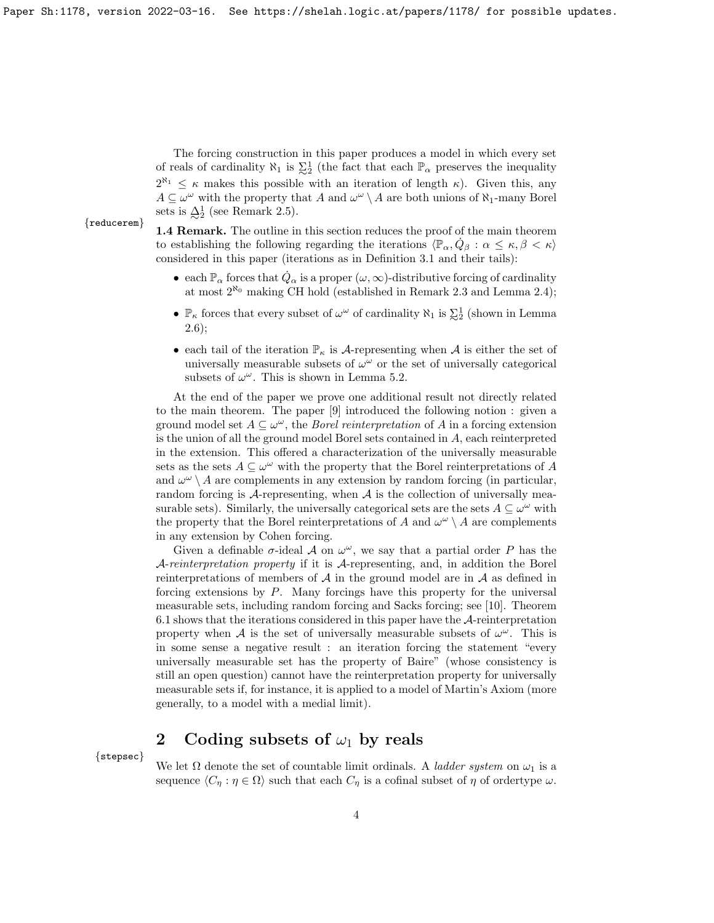The forcing construction in this paper produces a model in which every set of reals of cardinality  $\aleph_1$  is  $\sum_{i=2}^{1}$  (the fact that each  $\mathbb{P}_{\alpha}$  preserves the inequality  $2^{\aleph_1} \leq \kappa$  makes this possible with an iteration of length  $\kappa$ ). Given this, any  $A \subseteq \omega^{\omega}$  with the property that A and  $\omega^{\omega} \setminus A$  are both unions of  $\aleph_1$ -many Borel sets is  $\mathcal{\Delta}_2^1$  (see Remark 2.5).

#### {reducerem}

1.4 Remark. The outline in this section reduces the proof of the main theorem to establishing the following regarding the iterations  $\langle \mathbb{P}_{\alpha}, \dot{Q}_{\beta} : \alpha \leq \kappa, \beta < \kappa \rangle$ considered in this paper (iterations as in Definition 3.1 and their tails):

- each  $\mathbb{P}_{\alpha}$  forces that  $\dot{Q}_{\alpha}$  is a proper  $(\omega,\infty)$ -distributive forcing of cardinality at most  $2^{\aleph_0}$  making CH hold (established in Remark 2.3 and Lemma 2.4);
- $\mathbb{P}_{\kappa}$  forces that every subset of  $\omega^{\omega}$  of cardinality  $\aleph_1$  is  $\sum_{i=1}^{1}$  (shown in Lemma 2.6);
- each tail of the iteration  $\mathbb{P}_{\kappa}$  is A-representing when A is either the set of universally measurable subsets of  $\omega^{\omega}$  or the set of universally categorical subsets of  $\omega^{\omega}$ . This is shown in Lemma 5.2.

At the end of the paper we prove one additional result not directly related to the main theorem. The paper [9] introduced the following notion : given a ground model set  $A \subseteq \omega^{\omega}$ , the *Borel reinterpretation* of A in a forcing extension is the union of all the ground model Borel sets contained in A, each reinterpreted in the extension. This offered a characterization of the universally measurable sets as the sets  $A \subseteq \omega^{\omega}$  with the property that the Borel reinterpretations of A and  $\omega^{\omega} \setminus A$  are complements in any extension by random forcing (in particular, random forcing is  $A$ -representing, when  $A$  is the collection of universally measurable sets). Similarly, the universally categorical sets are the sets  $A \subseteq \omega^{\omega}$  with the property that the Borel reinterpretations of A and  $\omega^{\omega} \setminus A$  are complements in any extension by Cohen forcing.

Given a definable  $\sigma$ -ideal  $\mathcal A$  on  $\omega^{\omega}$ , we say that a partial order P has the A-reinterpretation property if it is A-representing, and, in addition the Borel reinterpretations of members of  $A$  in the ground model are in  $A$  as defined in forcing extensions by  $P$ . Many forcings have this property for the universal measurable sets, including random forcing and Sacks forcing; see [10]. Theorem 6.1 shows that the iterations considered in this paper have the A-reinterpretation property when A is the set of universally measurable subsets of  $\omega^{\omega}$ . This is in some sense a negative result : an iteration forcing the statement "every universally measurable set has the property of Baire" (whose consistency is still an open question) cannot have the reinterpretation property for universally measurable sets if, for instance, it is applied to a model of Martin's Axiom (more generally, to a model with a medial limit).

# 2 Coding subsets of  $\omega_1$  by reals

{stepsec}

We let  $\Omega$  denote the set of countable limit ordinals. A *ladder system* on  $\omega_1$  is a sequence  $\langle C_\eta : \eta \in \Omega \rangle$  such that each  $C_\eta$  is a cofinal subset of  $\eta$  of ordertype  $\omega$ .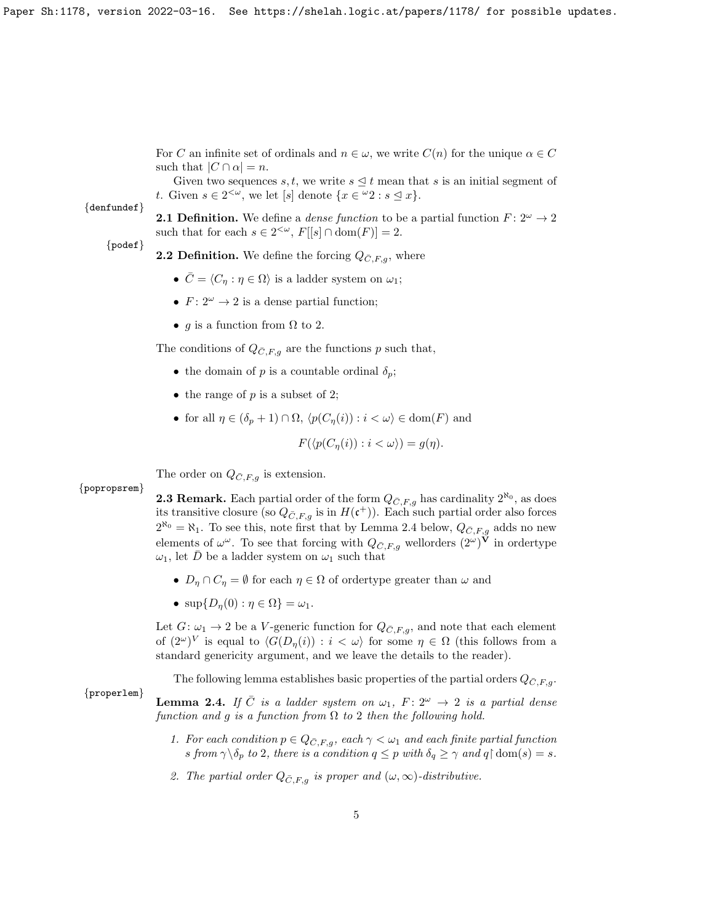For C an infinite set of ordinals and  $n \in \omega$ , we write  $C(n)$  for the unique  $\alpha \in C$ such that  $|C \cap \alpha| = n$ .

Given two sequences s, t, we write  $s \leq t$  mean that s is an initial segment of t. Given  $s \in 2^{<\omega}$ , we let [s] denote  $\{x \in {}^{\omega}2 : s \leq x\}.$ 

#### {denfundef}

{popropsrem}

{properlem}

**2.1 Definition.** We define a *dense function* to be a partial function  $F: 2^{\omega} \rightarrow 2$ such that for each  $s \in 2^{<\omega}$ ,  $F[[s] \cap \text{dom}(F)] = 2$ .

#### {podef}

- **2.2 Definition.** We define the forcing  $Q_{\bar{C},F,q}$ , where
	- $\bar{C} = \langle C_{\eta} : \eta \in \Omega \rangle$  is a ladder system on  $\omega_1$ ;
	- $F: 2^{\omega} \to 2$  is a dense partial function;
	- g is a function from  $\Omega$  to 2.

The conditions of  $Q_{\bar{C},F,g}$  are the functions p such that,

- the domain of p is a countable ordinal  $\delta_p$ ;
- the range of  $p$  is a subset of 2;
- for all  $\eta \in (\delta_p + 1) \cap \Omega$ ,  $\langle p(C_n(i)) : i < \omega \rangle \in \text{dom}(F)$  and

$$
F(\langle p(C_{\eta}(i)) : i < \omega \rangle) = g(\eta).
$$

The order on  $Q_{\bar{C},F,q}$  is extension.

**2.3 Remark.** Each partial order of the form  $Q_{\bar{C},F,g}$  has cardinality  $2^{\aleph_0}$ , as does its transitive closure (so  $Q_{\bar{C},F,g}$  is in  $H(\mathfrak{c}^+)$ ). Each such partial order also forces  $2^{\aleph_0} = \aleph_1$ . To see this, note first that by Lemma 2.4 below,  $Q_{\bar{C},F,g}$  adds no new elements of  $\omega^{\omega}$ . To see that forcing with  $Q_{\bar{C},F,g}$  wellorders  $(2^{\omega})^{\mathbf{V}}$  in ordertype  $\omega_1$ , let  $\bar{D}$  be a ladder system on  $\omega_1$  such that

- $D_n \cap C_n = \emptyset$  for each  $\eta \in \Omega$  of order type greater than  $\omega$  and
- $\sup\{D_n(0): \eta \in \Omega\} = \omega_1.$

Let  $G: \omega_1 \to 2$  be a V-generic function for  $Q_{\bar{C},F,g}$ , and note that each element of  $(2^{\omega})^V$  is equal to  $\langle G(D_{\eta}(i)) : i < \omega \rangle$  for some  $\eta \in \Omega$  (this follows from a standard genericity argument, and we leave the details to the reader).

The following lemma establishes basic properties of the partial orders  $Q_{\bar{C},F,q}$ .

**Lemma 2.4.** If  $\overline{C}$  is a ladder system on  $\omega_1$ ,  $F : 2^{\omega} \rightarrow 2$  is a partial dense function and g is a function from  $\Omega$  to 2 then the following hold.

- 1. For each condition  $p \in Q_{\bar{C},F,g}$ , each  $\gamma < \omega_1$  and each finite partial function s from  $\gamma \backslash \delta_p$  to 2, there is a condition  $q \leq p$  with  $\delta_q \geq \gamma$  and  $q \restriction \text{dom}(s) = s$ .
- 2. The partial order  $Q_{\bar{C},F,g}$  is proper and  $(\omega,\infty)$ -distributive.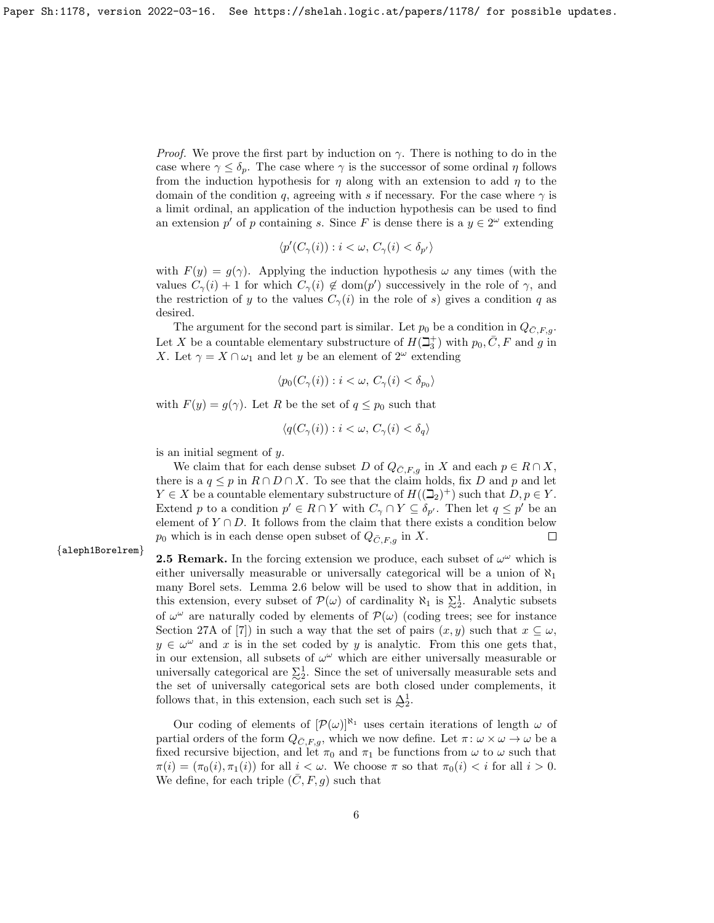*Proof.* We prove the first part by induction on  $\gamma$ . There is nothing to do in the case where  $\gamma \leq \delta_p$ . The case where  $\gamma$  is the successor of some ordinal  $\eta$  follows from the induction hypothesis for  $\eta$  along with an extension to add  $\eta$  to the domain of the condition q, agreeing with s if necessary. For the case where  $\gamma$  is a limit ordinal, an application of the induction hypothesis can be used to find an extension p' of p containing s. Since F is dense there is a  $y \in 2^{\omega}$  extending

$$
\langle p'(C_{\gamma}(i)) : i < \omega, C_{\gamma}(i) < \delta_{p'} \rangle
$$

with  $F(y) = g(\gamma)$ . Applying the induction hypothesis  $\omega$  any times (with the values  $C_{\gamma}(i) + 1$  for which  $C_{\gamma}(i) \notin \text{dom}(p')$  successively in the role of  $\gamma$ , and the restriction of y to the values  $C_{\gamma}(i)$  in the role of s) gives a condition q as desired.

The argument for the second part is similar. Let  $p_0$  be a condition in  $Q_{\bar{C},F,q}$ . Let X be a countable elementary substructure of  $H(\beth_3^+)$  with  $p_0, \bar{C}, F$  and g in X. Let  $\gamma = X \cap \omega_1$  and let y be an element of  $2^{\omega}$  extending

$$
\langle p_0(C_\gamma(i)) : i < \omega, C_\gamma(i) < \delta_{p_0} \rangle
$$

with  $F(y) = g(\gamma)$ . Let R be the set of  $q \leq p_0$  such that

$$
\langle q(C_{\gamma}(i)) : i < \omega, C_{\gamma}(i) < \delta_q \rangle
$$

is an initial segment of y.

We claim that for each dense subset D of  $Q_{\bar{C},F,q}$  in X and each  $p \in R \cap X$ , there is a  $q \leq p$  in  $R \cap D \cap X$ . To see that the claim holds, fix D and p and let  $Y \in X$  be a countable elementary substructure of  $H((\mathbb{Z}_2)^+)$  such that  $D, p \in Y$ . Extend p to a condition  $p' \in R \cap Y$  with  $C_{\gamma} \cap Y \subseteq \delta_{p'}$ . Then let  $q \leq p'$  be an element of  $Y \cap D$ . It follows from the claim that there exists a condition below  $p_0$  which is in each dense open subset of  $Q_{\bar{C},F,g}$  in X.  $\Box$ 

{aleph1Borelrem}

**2.5 Remark.** In the forcing extension we produce, each subset of  $\omega^{\omega}$  which is either universally measurable or universally categorical will be a union of  $\aleph_1$ many Borel sets. Lemma 2.6 below will be used to show that in addition, in this extension, every subset of  $\mathcal{P}(\omega)$  of cardinality  $\aleph_1$  is  $\sum_2^1$ . Analytic subsets of  $\omega^{\omega}$  are naturally coded by elements of  $\mathcal{P}(\omega)$  (coding trees; see for instance Section 27A of [7]) in such a way that the set of pairs  $(x, y)$  such that  $x \subseteq \omega$ .  $y \in \omega^{\omega}$  and x is in the set coded by y is analytic. From this one gets that, in our extension, all subsets of  $\omega^{\omega}$  which are either universally measurable or universally categorical are  $\Sigma^1$ . Since the set of universally measurable sets and the set of universally categorical sets are both closed under complements, it follows that, in this extension, each such set is  $\Delta_2^1$ .

Our coding of elements of  $[\mathcal{P}(\omega)]^{\aleph_1}$  uses certain iterations of length  $\omega$  of partial orders of the form  $Q_{\bar{C},F,q}$ , which we now define. Let  $\pi: \omega \times \omega \to \omega$  be a fixed recursive bijection, and let  $\pi_0$  and  $\pi_1$  be functions from  $\omega$  to  $\omega$  such that  $\pi(i) = (\pi_0(i), \pi_1(i))$  for all  $i < \omega$ . We choose  $\pi$  so that  $\pi_0(i) < i$  for all  $i > 0$ . We define, for each triple  $(\overline{C}, F, g)$  such that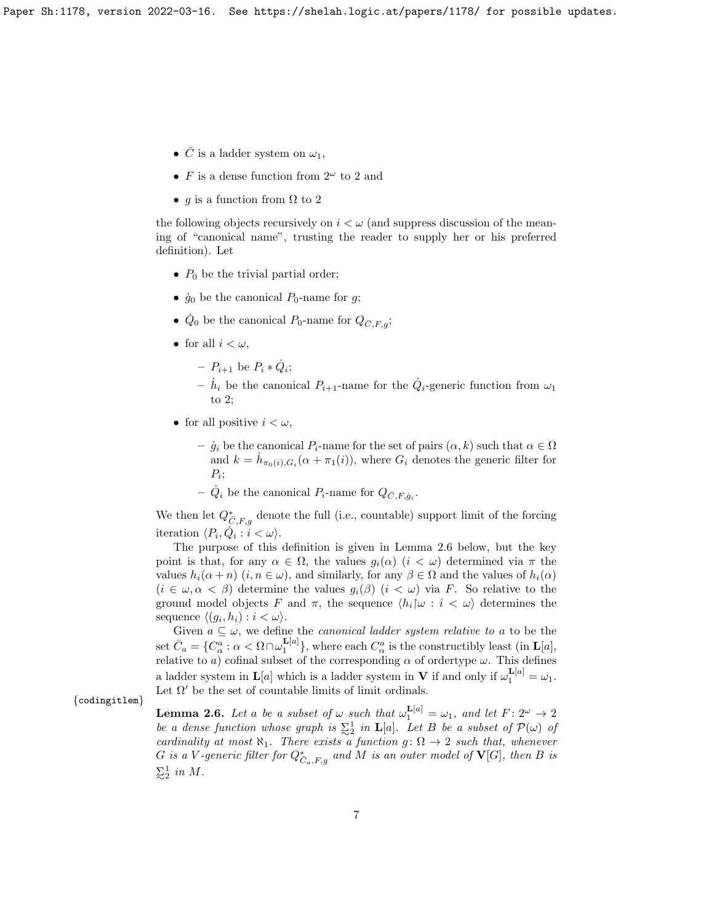- $\bar{C}$  is a ladder system on  $\omega_1$ ,
- F is a dense function from  $2^{\omega}$  to 2 and
- q is a function from  $\Omega$  to 2

the following objects recursively on  $i < \omega$  (and suppress discussion of the meaning of "canonical name", trusting the reader to supply her or his preferred definition). Let

- $P_0$  be the trivial partial order;
- $\dot{g}_0$  be the canonical  $P_0$ -name for g;
- $\dot{Q}_0$  be the canonical  $P_0$ -name for  $Q_{\bar{C},F,g}$ ;
- for all  $i < \omega$ ,
	- $P_{i+1}$  be  $P_i * \dot{Q}_i$ ;
	- $\dot{h}_i$  be the canonical  $P_{i+1}$ -name for the  $\dot{Q}_i$ -generic function from  $\omega_1$ to 2;
- for all positive  $i < \omega$ ,

 $\dot{g}_i$  be the canonical  $P_i$ -name for the set of pairs  $(\alpha, k)$  such that  $\alpha \in \Omega$ and  $k = \dot{h}_{\pi_0(i), G_i}(\alpha + \pi_1(i))$ , where  $G_i$  denotes the generic filter for  $P_i$ ;

-  $\dot{Q}_i$  be the canonical  $P_i$ -name for  $Q_{\bar{C},F,\dot{g}_i}$ .

We then let  $Q_{\overline{C},F,g}^*$  denote the full (i.e., countable) support limit of the forcing iteration  $\langle P_i, \dot{Q}_i : i < \omega \rangle$ .

The purpose of this definition is given in Lemma 2.6 below, but the key point is that, for any  $\alpha \in \Omega$ , the values  $g_i(\alpha)$   $(i < \omega)$  determined via  $\pi$  the values  $h_i(\alpha + n)$   $(i, n \in \omega)$ , and similarly, for any  $\beta \in \Omega$  and the values of  $h_i(\alpha)$  $(i \in \omega, \alpha < \beta)$  determine the values  $g_i(\beta)$   $(i < \omega)$  via F. So relative to the ground model objects F and  $\pi$ , the sequence  $\langle h_i | \omega : i < \omega \rangle$  determines the sequence  $\langle (g_i, h_i) : i < \omega \rangle$ .

Given  $a \subseteq \omega$ , we define the *canonical ladder system relative to a* to be the set  $\bar{C}_a = \{ C^a_\alpha : \alpha < \Omega \cap \omega_1^{\mathbf{L}[a]} \},$  where each  $C^a_\alpha$  is the constructibly least (in  $\mathbf{L}[a],$ relative to a) cofinal subset of the corresponding  $\alpha$  of ordertype  $\omega$ . This defines a ladder system in  $\mathbf{L}[a]$  which is a ladder system in  $\mathbf{V}$  if and only if  $\omega_1^{\mathbf{L}[a]} = \omega_1$ . Let  $\Omega'$  be the set of countable limits of limit ordinals.

{codingitlem}

**Lemma 2.6.** Let a be a subset of  $\omega$  such that  $\omega_1^{\text{L}[a]} = \omega_1$ , and let  $F: 2^{\omega} \to 2$ be a dense function whose graph is  $\Sigma^1$  in **L**[a]. Let B be a subset of  $\mathcal{P}(\omega)$  of cardinality at most  $\aleph_1$ . There exists a function  $g: \Omega \to 2$  such that, whenever G is a V-generic filter for  $Q_{C_a,F,g}^*$  and M is an outer model of  $\mathbf{V}[G],$  then B is  $\sum_{2}^{1}$  in M.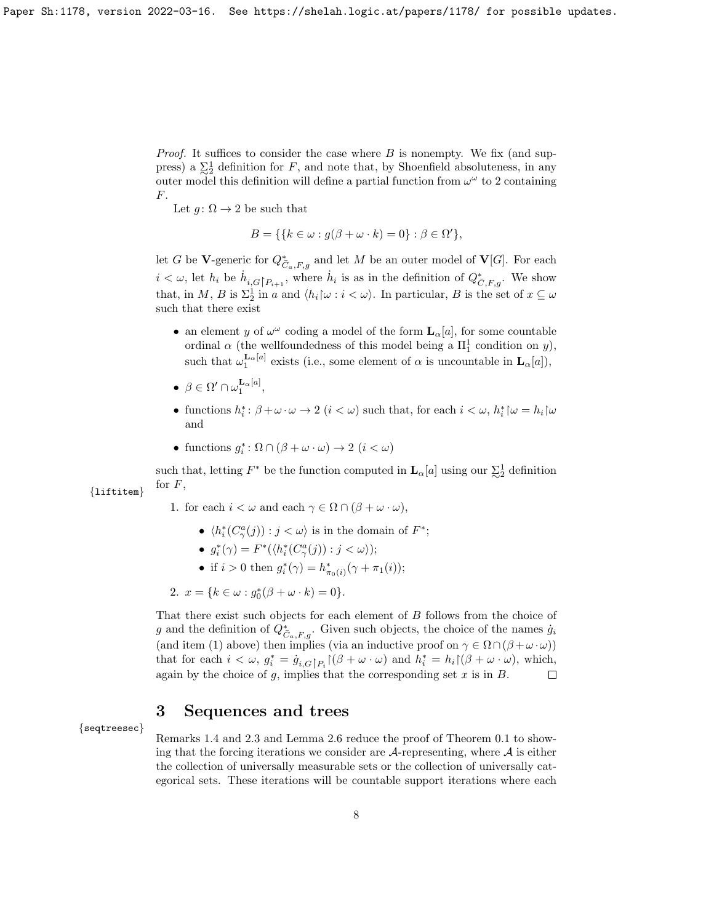*Proof.* It suffices to consider the case where  $B$  is nonempty. We fix (and suppress) a  $\Sigma_2^1$  definition for F, and note that, by Shoenfield absoluteness, in any outer model this definition will define a partial function from  $\omega^{\omega}$  to 2 containing  $F<sub>r</sub>$ .

Let  $q: \Omega \to 2$  be such that

$$
B = \{ \{ k \in \omega : g(\beta + \omega \cdot k) = 0 \} : \beta \in \Omega' \},
$$

let G be V-generic for  $Q_{\overline{C}_a,F,g}^*$  and let M be an outer model of  $\mathbf{V}[G]$ . For each  $i < \omega$ , let  $h_i$  be  $\dot{h}_{i,G}$   $\vert_{P_{i+1}}$ , where  $\dot{h}_i$  is as in the definition of  $Q^*_{\bar{C},F,g}$ . We show that, in M, B is  $\Sigma_2^1$  in a and  $\langle h_i | \omega : i < \omega \rangle$ . In particular, B is the set of  $x \subseteq \omega$ such that there exist

- an element y of  $\omega^{\omega}$  coding a model of the form  $\mathbf{L}_{\alpha}[a]$ , for some countable ordinal  $\alpha$  (the wellfoundedness of this model being a  $\Pi_1^1$  condition on y), such that  $\omega_1^{\mathbf{L}_{\alpha}[a]}$  exists (i.e., some element of  $\alpha$  is uncountable in  $\mathbf{L}_{\alpha}[a]$ ),
- $\bullet \ \beta \in \Omega' \cap \omega_1^{\mathbf{L}_{\alpha}[a]},$
- functions  $h_i^*$ :  $\beta + \omega \cdot \omega \rightarrow 2$   $(i < \omega)$  such that, for each  $i < \omega$ ,  $h_i^* \upharpoonright \omega = h_i \upharpoonright \omega$ and
- functions  $g_i^* : \Omega \cap (\beta + \omega \cdot \omega) \to 2 \ (i < \omega)$

such that, letting  $F^*$  be the function computed in  $\mathbf{L}_{\alpha}[a]$  using our  $\sum_{i=1}^{n}$  definition for  $F$ , {liftitem}

- 1. for each  $i < \omega$  and each  $\gamma \in \Omega \cap (\beta + \omega \cdot \omega)$ ,
	- $\langle h_i^*(C_\gamma^a(j)) : j < \omega \rangle$  is in the domain of  $F^*$ ;
	- $g_i^*(\gamma) = F^*(\langle h_i^*(C_\gamma^a(j)) : j < \omega \rangle);$
	- if  $i > 0$  then  $g_i^*(\gamma) = h_{\pi_0(i)}^*(\gamma + \pi_1(i));$

2. 
$$
x = \{k \in \omega : g_0^*(\beta + \omega \cdot k) = 0\}.
$$

That there exist such objects for each element of B follows from the choice of g and the definition of  $Q^*_{\overline{C}_a,F,g}$ . Given such objects, the choice of the names  $\dot{g}_i$ (and item (1) above) then implies (via an inductive proof on  $\gamma \in \Omega \cap (\beta + \omega \cdot \omega)$ ) that for each  $i < \omega, g_i^* = \dot{g}_{i,G} p_i \left[ (\beta + \omega \cdot \omega) \right]$  and  $h_i^* = h_i \left[ (\beta + \omega \cdot \omega) \right]$ , which, again by the choice of  $g$ , implies that the corresponding set  $x$  is in  $B$ .  $\Box$ 

### 3 Sequences and trees

### {seqtreesec}

Remarks 1.4 and 2.3 and Lemma 2.6 reduce the proof of Theorem 0.1 to showing that the forcing iterations we consider are  $A$ -representing, where  $A$  is either the collection of universally measurable sets or the collection of universally categorical sets. These iterations will be countable support iterations where each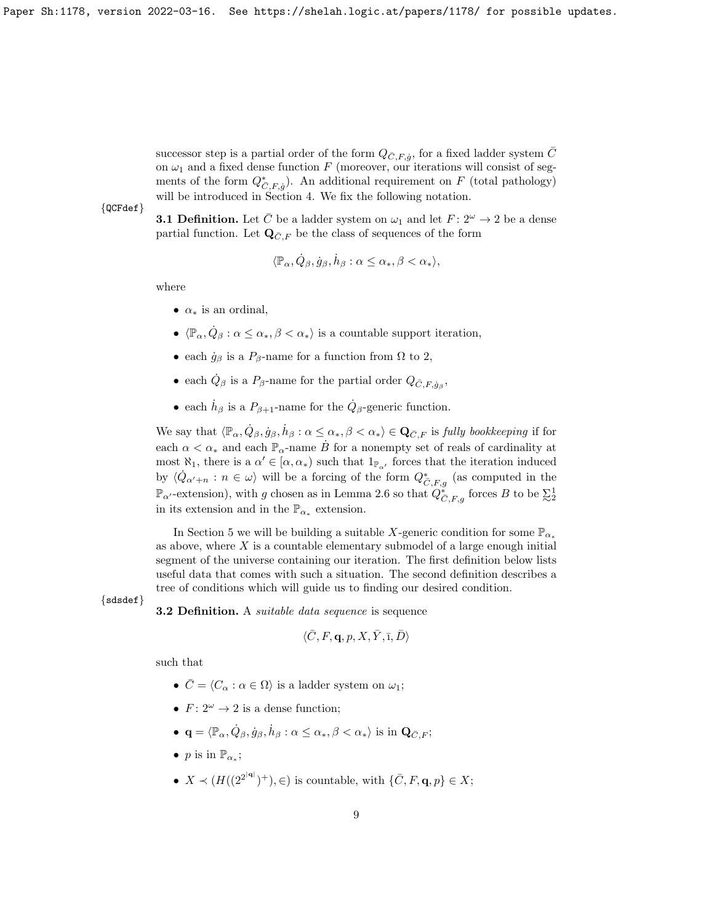successor step is a partial order of the form  $Q_{\bar{C},F,\dot{g}},$  for a fixed ladder system  $\bar{C}$ on  $\omega_1$  and a fixed dense function  $F$  (moreover, our iterations will consist of segments of the form  $Q_{\overline{C},F,\dot{g}}^*$ ). An additional requirement on  $F$  (total pathology) will be introduced in Section 4. We fix the following notation.

{QCFdef}

**3.1 Definition.** Let  $\overline{C}$  be a ladder system on  $\omega_1$  and let  $F: 2^{\omega} \to 2$  be a dense partial function. Let  $\mathbf{Q}_{\bar{C},F}$  be the class of sequences of the form

$$
\langle \mathbb{P}_{\alpha}, \dot{Q}_{\beta}, \dot{g}_{\beta}, \dot{h}_{\beta} : \alpha \le \alpha_*, \beta < \alpha_* \rangle,
$$

where

- $\alpha_*$  is an ordinal.
- $\langle \mathbb{P}_{\alpha}, \dot{Q}_{\beta} : \alpha \leq \alpha_*, \beta < \alpha_* \rangle$  is a countable support iteration,
- each  $\dot{g}_{\beta}$  is a  $P_{\beta}$ -name for a function from  $\Omega$  to 2,
- each  $\dot{Q}_{\beta}$  is a  $P_{\beta}$ -name for the partial order  $Q_{\bar{C},F,\dot{g}_{\beta}}$ ,
- each  $\dot{h}_{\beta}$  is a  $P_{\beta+1}$ -name for the  $\dot{Q}_{\beta}$ -generic function.

We say that  $\langle \mathbb{P}_\alpha, \dot{Q}_\beta, \dot{g}_\beta, \dot{h}_\beta : \alpha \leq \alpha_*, \beta < \alpha_* \rangle \in \mathbf{Q}_{\bar{C},F}$  is fully bookkeeping if for each  $\alpha < \alpha_*$  and each  $\mathbb{P}_{\alpha}$ -name  $\dot{B}$  for a nonempty set of reals of cardinality at most  $\aleph_1$ , there is a  $\alpha' \in [\alpha, \alpha_*)$  such that  $1_{\mathbb{P}_{\alpha'}}$  forces that the iteration induced by  $\langle \dot{Q}_{\alpha'+n} : n \in \omega \rangle$  will be a forcing of the form  $Q^*_{\bar{C},F,g}$  (as computed in the  $\mathbb{P}_{\alpha}$ -extension), with g chosen as in Lemma 2.6 so that  $Q_{\overline{C},F,g}^*$  forces B to be  $\Sigma_2^1$ in its extension and in the  $\mathbb{P}_{\alpha^*}$  extension.

In Section 5 we will be building a suitable X-generic condition for some  $\mathbb{P}_{\alpha*}$ as above, where  $X$  is a countable elementary submodel of a large enough initial segment of the universe containing our iteration. The first definition below lists useful data that comes with such a situation. The second definition describes a tree of conditions which will guide us to finding our desired condition.

{sdsdef}

**3.2 Definition.** A *suitable data sequence* is sequence

$$
\langle \bar{C}, F, \mathbf{q}, p, X, \bar{Y}, \bar{\mathbf{1}}, \bar{D} \rangle
$$

such that

- $\bar{C} = \langle C_{\alpha} : \alpha \in \Omega \rangle$  is a ladder system on  $\omega_1$ ;
- $F: 2^{\omega} \rightarrow 2$  is a dense function:
- $\mathbf{q} = \langle \mathbb{P}_{\alpha}, \dot{Q}_{\beta}, \dot{g}_{\beta}, \dot{h}_{\beta} : \alpha \leq \alpha_*, \beta < \alpha_* \rangle$  is in  $\mathbf{Q}_{\bar{C},F}$ ;
- *p* is in  $\mathbb{P}_{\alpha_*}$ ;
- $X \prec (H((2^{2^{|\mathbf{q}|}})^+), \in)$  is countable, with  $\{\bar{C}, F, \mathbf{q}, p\} \in X;$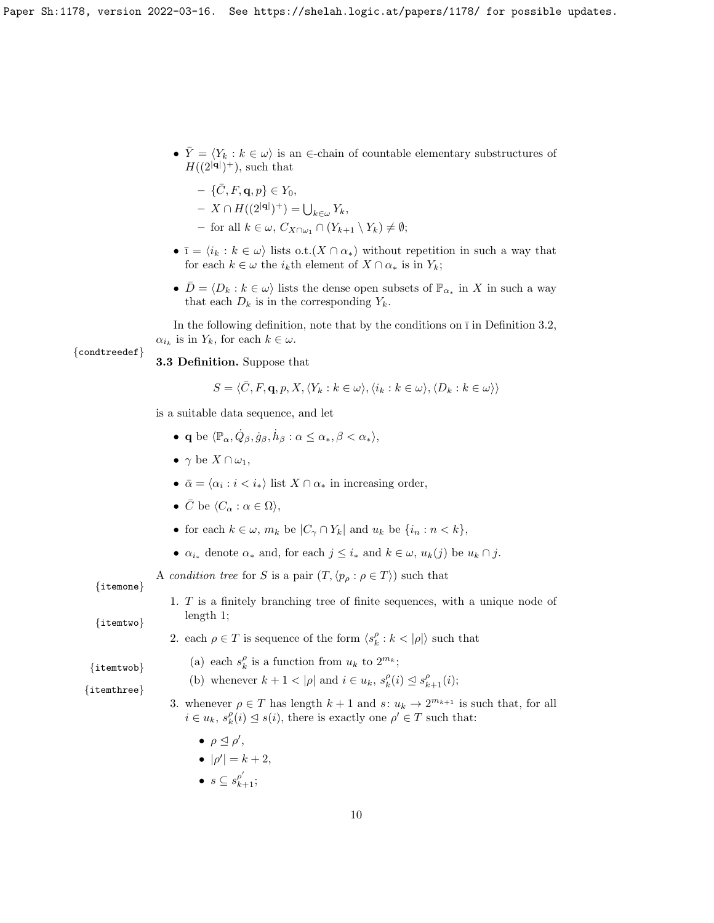•  $\overline{Y} = \langle Y_k : k \in \omega \rangle$  is an ∈-chain of countable elementary substructures of  $H((2<sup>|\mathbf{q}|</sup>)<sup>+</sup>),$  such that

$$
- \{\bar{C}, F, \mathbf{q}, p\} \in Y_0,
$$
  
 
$$
Y \in W(\Omega | \Omega) + \lambda
$$

$$
- X \cap H((2^{|\mathbf{q}|})^+) = \bigcup_{k \in \omega} Y_k,
$$

- for all  $k \in \omega$ ,  $C_{X \cap \omega_1} \cap (Y_{k+1} \setminus Y_k) \neq \emptyset$ ;
- $\bar{1} = \langle i_k : k \in \omega \rangle$  lists o.t. $(X \cap \alpha_*)$  without repetition in such a way that for each  $k \in \omega$  the  $i_k$ th element of  $X \cap \alpha_*$  is in  $Y_k$ ;
- $\bar{D} = \langle D_k : k \in \omega \rangle$  lists the dense open subsets of  $\mathbb{P}_{\alpha_*}$  in X in such a way that each  $D_k$  is in the corresponding  $Y_k$ .

In the following definition, note that by the conditions on  $\bar{1}$  in Definition 3.2,  $\alpha_{i_k}$  is in  $Y_k$ , for each  $k \in \omega$ .

### {condtreedef}

3.3 Definition. Suppose that

$$
S = \langle \bar{C}, F, \mathbf{q}, p, X, \langle Y_k : k \in \omega \rangle, \langle i_k : k \in \omega \rangle, \langle D_k : k \in \omega \rangle \rangle
$$

is a suitable data sequence, and let

- q be  $\langle \mathbb{P}_{\alpha}, \dot{Q}_{\beta}, \dot{g}_{\beta}, \dot{h}_{\beta} : \alpha \leq \alpha_*, \beta < \alpha_* \rangle$ ,
- $\gamma$  be  $X \cap \omega_1$ ,
- $\bar{\alpha} = \langle \alpha_i : i \langle i_* \rangle \text{ list } X \cap \alpha_* \text{ in increasing order,}$
- $\bar{C}$  be  $\langle C_\alpha : \alpha \in \Omega \rangle$ ,
- for each  $k \in \omega$ ,  $m_k$  be  $|C_\gamma \cap Y_k|$  and  $u_k$  be  $\{i_n : n < k\},$
- $\alpha_{i_{*}}$  denote  $\alpha_{*}$  and, for each  $j \leq i_{*}$  and  $k \in \omega$ ,  $u_{k}(j)$  be  $u_{k} \cap j$ .

A condition tree for S is a pair  $(T, \langle p_\rho : \rho \in T \rangle)$  such that

### {itemone}

1. T is a finitely branching tree of finite sequences, with a unique node of {itemtwo} length 1;

2. each  $\rho \in T$  is sequence of the form  $\langle s_k^{\rho}: k < |\rho| \rangle$  such that

(b) whenever  $k + 1 < |\rho|$  and  $i \in u_k$ ,  $s_k^{\rho}(i) \leq s_{k+1}^{\rho}(i)$ ;

- (a) each  $s_k^{\rho}$  is a function from  $u_k$  to  $2^{m_k}$ ;
- {itemtwob} {itemthree}
- 3. whenever  $\rho \in T$  has length  $k+1$  and  $s: u_k \to 2^{m_{k+1}}$  is such that, for all  $i \in u_k$ ,  $s_k^{\rho}(i) \leq s(i)$ , there is exactly one  $\rho' \in T$  such that:
	- $\bullet$   $\rho \trianglelefteq \rho',$
	- $|\rho'| = k + 2,$
	- $s \subseteq s^{\rho'}_{k+1};$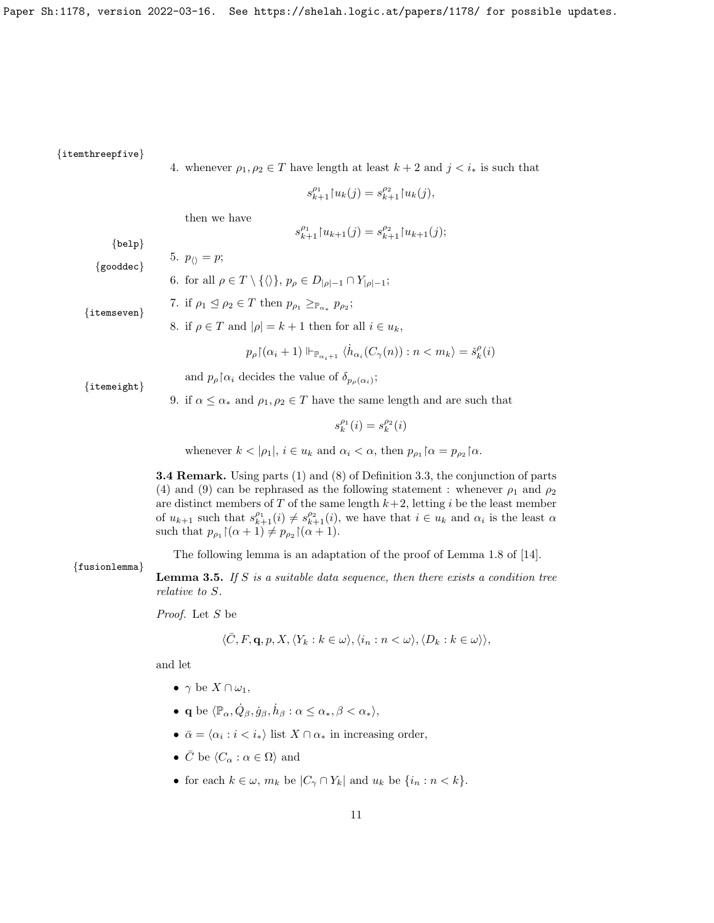{itemthreepfive}

4. whenever  $\rho_1, \rho_2 \in T$  have length at least  $k + 2$  and  $j < i_*$  is such that

$$
s_{k+1}^{\rho_1} {\upharpoonright} u_k(j) = s_{k+1}^{\rho_2} {\upharpoonright} u_k(j),
$$

then we have

$$
s_{k+1}^{\rho_1} {\upharpoonright} u_{k+1}(j) = s_{k+1}^{\rho_2} {\upharpoonright} u_{k+1}(j);
$$

{belp}

5.  $p_{\langle\rangle} = p;$ {gooddec}

6. for all  $\rho \in T \setminus \{\langle \rangle\}, p_{\rho} \in D_{|\rho|-1} \cap Y_{|\rho|-1};$ 

{itemseven}

7. if 
$$
\rho_1 \leq \rho_2 \in T
$$
 then  $p_{\rho_1} \geq_{\mathbb{P}_{\alpha_*}} p_{\rho_2}$ ;

8. if  $\rho \in T$  and  $|\rho| = k + 1$  then for all  $i \in u_k$ ,

$$
p_\rho{\restriction}(\alpha_i+1)\Vdash_{\mathbb{P}_{\alpha_i+1}}\langle\dot{h}_{\alpha_i}(C_\gamma(n)):n
$$

{itemeight}

and  $p_{\rho}$  |  $\alpha_i$  decides the value of  $\delta_{p_{\rho}(\alpha_i)}$ ;

9. if  $\alpha \leq \alpha_*$  and  $\rho_1, \rho_2 \in T$  have the same length and are such that

$$
s_k^{\rho_1}(i)=s_k^{\rho_2}(i)
$$

whenever  $k < |\rho_1|, i \in u_k$  and  $\alpha_i < \alpha$ , then  $p_{\rho_1} \upharpoonright \alpha = p_{\rho_2} \upharpoonright \alpha$ .

3.4 Remark. Using parts (1) and (8) of Definition 3.3, the conjunction of parts (4) and (9) can be rephrased as the following statement : whenever  $\rho_1$  and  $\rho_2$ are distinct members of  $T$  of the same length  $k+2$ , letting i be the least member of  $u_{k+1}$  such that  $s_{k+1}^{\rho_1}(i) \neq s_{k+1}^{\rho_2}(i)$ , we have that  $i \in u_k$  and  $\alpha_i$  is the least  $\alpha$ such that  $p_{\rho_1} \left[ (\alpha + 1) \neq p_{\rho_2} \left[ (\alpha + 1) \right] \right]$ .

The following lemma is an adaptation of the proof of Lemma 1.8 of [14].

{fusionlemma} **Lemma 3.5.** If S is a suitable data sequence, then there exists a condition tree

Proof. Let S be

relative to S.

$$
\langle \bar{C}, F, \mathbf{q}, p, X, \langle Y_k : k \in \omega \rangle, \langle i_n : n < \omega \rangle, \langle D_k : k \in \omega \rangle \rangle,
$$

and let

- $\gamma$  be  $X \cap \omega_1$ ,
- q be  $\langle \mathbb{P}_{\alpha}, \dot{Q}_{\beta}, \dot{g}_{\beta}, \dot{h}_{\beta} : \alpha \leq \alpha_*, \beta < \alpha_* \rangle$ ,
- $\bar{\alpha} = \langle \alpha_i : i \langle i_* \rangle \text{ list } X \cap \alpha_* \text{ in increasing order,}$
- $\bar{C}$  be  $\langle C_\alpha : \alpha \in \Omega \rangle$  and
- for each  $k \in \omega$ ,  $m_k$  be  $|C_\gamma \cap Y_k|$  and  $u_k$  be  $\{i_n : n < k\}.$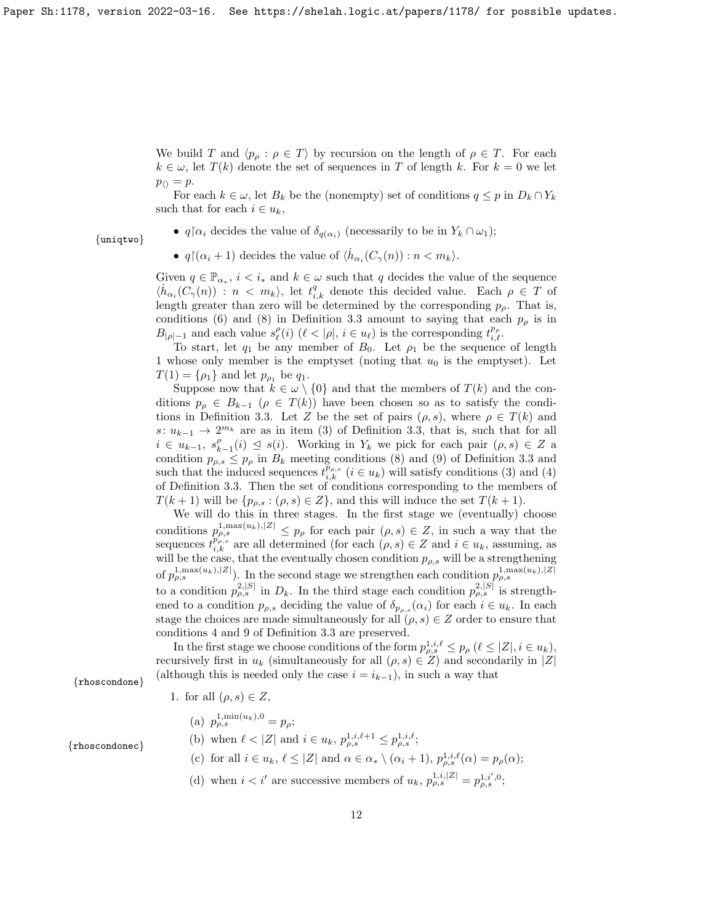We build T and  $\langle p_{\rho} : \rho \in T \rangle$  by recursion on the length of  $\rho \in T$ . For each  $k \in \omega$ , let  $T(k)$  denote the set of sequences in T of length k. For  $k = 0$  we let  $p_{\langle\rangle} = p.$ 

For each  $k \in \omega$ , let  $B_k$  be the (nonempty) set of conditions  $q \leq p$  in  $D_k \cap Y_k$ such that for each  $i \in u_k$ ,

{uniqtwo}

•  $q \upharpoonright \alpha_i$  decides the value of  $\delta_{q(\alpha_i)}$  (necessarily to be in  $Y_k \cap \omega_1$ );

•  $q \upharpoonright (\alpha_i + 1)$  decides the value of  $\langle \dot{h}_{\alpha_i}(C_{\gamma}(n)) : n < m_k \rangle$ .

Given  $q \in \mathbb{P}_{\alpha_*}$ ,  $i < i_*$  and  $k \in \omega$  such that q decides the value of the sequence  $\langle \dot{h}_{\alpha_i}(C_\gamma(n)) : n \langle m_k \rangle$ , let  $t_{i,k}^q$  denote this decided value. Each  $\rho \in T$  of length greater than zero will be determined by the corresponding  $p_{\rho}$ . That is, conditions (6) and (8) in Definition 3.3 amount to saying that each  $p<sub>\rho</sub>$  is in  $B_{|\rho|-1}$  and each value  $s^{\rho}_{\ell}(i)$   $(\ell < |\rho|, i \in u_{\ell})$  is the corresponding  $t^{p_{\rho}}_{i,\ell}$ .

To start, let  $q_1$  be any member of  $B_0$ . Let  $\rho_1$  be the sequence of length 1 whose only member is the emptyset (noting that  $u_0$  is the emptyset). Let  $T(1) = \{\rho_1\}$  and let  $p_{\rho_1}$  be  $q_1$ .

Suppose now that  $k \in \omega \setminus \{0\}$  and that the members of  $T(k)$  and the conditions  $p_{\rho} \in B_{k-1}$  ( $\rho \in T(k)$ ) have been chosen so as to satisfy the conditions in Definition 3.3. Let Z be the set of pairs  $(\rho, s)$ , where  $\rho \in T(k)$  and s:  $u_{k-1} \to 2^{m_k}$  are as in item (3) of Definition 3.3, that is, such that for all  $i \in u_{k-1}, s_{k-1}^{\rho}(i) \leq s(i)$ . Working in Y<sub>k</sub> we pick for each pair  $(\rho, s) \in \mathbb{Z}$  a condition  $p_{\rho,s} \leq p_\rho$  in  $B_k$  meeting conditions (8) and (9) of Definition 3.3 and such that the induced sequences  $t_{i,k}^{p_{\rho,s}}$  ( $i \in u_k$ ) will satisfy conditions (3) and (4) of Definition 3.3. Then the set of conditions corresponding to the members of  $T(k+1)$  will be  $\{p_{\rho,s} : (\rho,s) \in Z\}$ , and this will induce the set  $T(k+1)$ .

We will do this in three stages. In the first stage we (eventually) choose conditions  $p_{\rho,s}^{1,\max(u_k),|Z|} \leq p_\rho$  for each pair  $(\rho,s) \in Z$ , in such a way that the sequences  $\hat{t}_{i,k}^{p_{\rho,s}}$  are all determined (for each  $(\rho,s) \in Z$  and  $i \in u_k$ , assuming, as will be the case, that the eventually chosen condition  $p_{\rho,s}$  will be a strengthening of  $p_{\rho,s}^{1,\max(u_k),|Z|}$ . In the second stage we strengthen each condition  $p_{\rho,s}^{1,\max(u_k),|Z|}$ to a condition  $p_{\rho,s}^{2,|S|}$  in  $D_k$ . In the third stage each condition  $p_{\rho,s}^{2,|S|}$  is strengthened to a condition  $p_{\rho,s}$  deciding the value of  $\delta_{p_{\rho,s}}(\alpha_i)$  for each  $i \in u_k$ . In each stage the choices are made simultaneously for all  $(\rho, s) \in Z$  order to ensure that conditions 4 and 9 of Definition 3.3 are preserved.

In the first stage we choose conditions of the form  $p_{\rho,s}^{1,i,\ell} \leq p_\rho \ (\ell \leq |Z|, i \in u_k),$ recursively first in  $u_k$  (simultaneously for all  $(\rho, s) \in Z$ ) and secondarily in |Z| {rhoscondone} (although this is needed only the case  $i = i_{k-1}$ ), in such a way that

1. for all  $(\rho, s) \in Z$ ,

(a) 
$$
p_{\rho,s}^{1,\min(u_k),0} = p_{\rho};
$$

(b) when  $\ell < |Z|$  and  $i \in u_k$ ,  $p_{\rho,s}^{1,i,\ell+1} \leq p_{\rho,s}^{1,i,\ell}$ ;

- (c) for all  $i \in u_k$ ,  $\ell \leq |Z|$  and  $\alpha \in \alpha_* \setminus (\alpha_i + 1)$ ,  $p_{\rho,s}^{1,i,\ell}(\alpha) = p_\rho(\alpha);$
- (d) when  $i < i'$  are successive members of  $u_k$ ,  $p_{\rho,s}^{1,i,|Z|} = p_{\rho,s}^{1,i',0}$ ;

{rhoscondonec}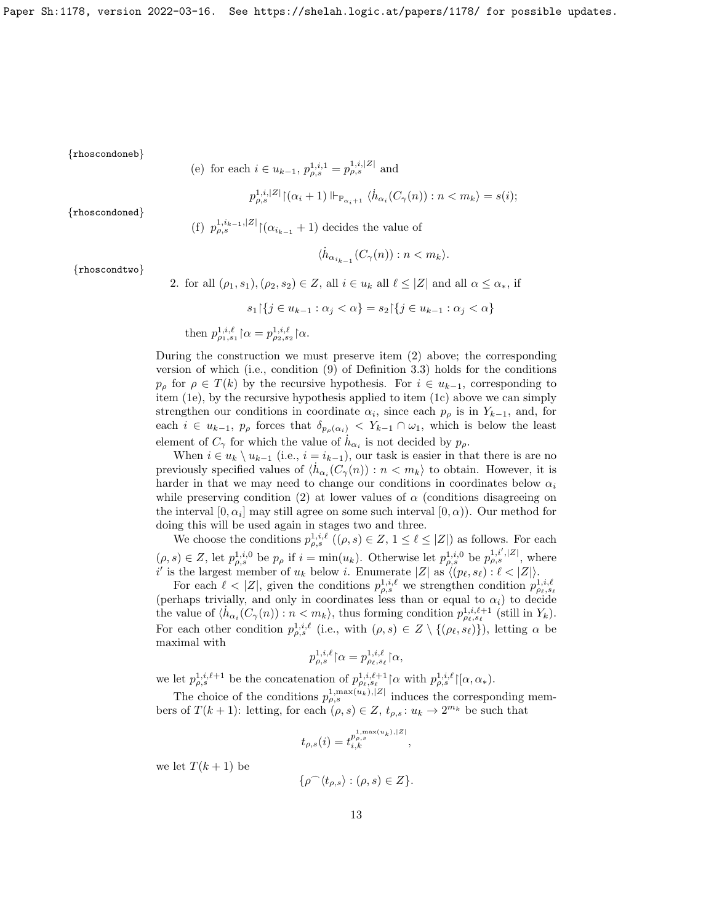{rhoscondoneb}

\n- (e) for each 
$$
i \in u_{k-1}
$$
,  $p_{\rho,s}^{1,i,1} = p_{\rho,s}^{1,i,|Z|}$  and  $p_{\rho,s}^{1,i,|Z|} |(\alpha_i + 1) \Vdash_{\mathbb{P}_{\alpha_i+1}} \langle \dot{h}_{\alpha_i}(C_\gamma(n)) : n < m_k \rangle = s(i);$
\n- (f)  $p_{\rho,s}^{1,i_{k-1},|Z|} |(\alpha_{i_{k-1}} + 1)$  decides the value of
\n

{rhoscondoned}

$$
\langle \dot{h}_{\alpha_{i_{k-1}}}(C_{\gamma}(n)) : n < m_{k} \rangle.
$$

{rhoscondtwo}

2. for all  $(\rho_1, s_1), (\rho_2, s_2) \in Z$ , all  $i \in u_k$  all  $\ell \leq |Z|$  and all  $\alpha \leq \alpha_*,$  if

$$
s_1 \upharpoonright \{ j \in u_{k-1} : \alpha_j < \alpha \} = s_2 \upharpoonright \{ j \in u_{k-1} : \alpha_j < \alpha \}
$$

then  $p_{\rho_1, s_1}^{1, i, \ell} \, \alpha = p_{\rho_2, s_2}^{1, i, \ell} \, \alpha.$ 

During the construction we must preserve item (2) above; the corresponding version of which (i.e., condition (9) of Definition 3.3) holds for the conditions  $p_{\rho}$  for  $\rho \in T(k)$  by the recursive hypothesis. For  $i \in u_{k-1}$ , corresponding to item (1e), by the recursive hypothesis applied to item (1c) above we can simply strengthen our conditions in coordinate  $\alpha_i$ , since each  $p_\rho$  is in  $Y_{k-1}$ , and, for each  $i \in u_{k-1}$ ,  $p_\rho$  forces that  $\delta_{p_\rho(\alpha_i)} < Y_{k-1} \cap \omega_1$ , which is below the least element of  $C_{\gamma}$  for which the value of  $\hat{h}_{\alpha_i}$  is not decided by  $p_{\rho}$ .

When  $i \in u_k \setminus u_{k-1}$  (i.e.,  $i = i_{k-1}$ ), our task is easier in that there is are no previously specified values of  $\langle \dot{h}_{\alpha_i}(C_{\gamma}(n)) : n \langle m_k \rangle$  to obtain. However, it is harder in that we may need to change our conditions in coordinates below  $\alpha_i$ while preserving condition (2) at lower values of  $\alpha$  (conditions disagreeing on the interval  $[0, \alpha_i]$  may still agree on some such interval  $[0, \alpha)$ ). Our method for doing this will be used again in stages two and three.

We choose the conditions  $p_{\rho,s}^{1,i,\ell}$   $((\rho, s) \in Z, 1 \leq \ell \leq |Z|)$  as follows. For each  $(\rho, s) \in Z$ , let  $p_{\rho,s}^{1,i,0}$  be  $p_\rho$  if  $i = \min(u_k)$ . Otherwise let  $p_{\rho,s}^{1,i,0}$  be  $p_{\rho,s}^{1,i',|Z|}$ , where i' is the largest member of  $u_k$  below i. Enumerate  $|Z|$  as  $\langle (p_\ell, s_\ell) : \ell < |Z| \rangle$ .

For each  $\ell < |Z|$ , given the conditions  $p_{\rho,s}^{1,i,\ell}$  we strengthen condition  $p_{\rho\ell,s\ell}^{1,i,\ell}$ (perhaps trivially, and only in coordinates less than or equal to  $\alpha_i$ ) to decide the value of  $\langle \dot{h}_{\alpha_i}(C_\gamma(n)) : n < m_k \rangle$ , thus forming condition  $p_{\rho_\ell,s_\ell}^{1,i,\ell+1}$  (still in  $Y_k$ ). For each other condition  $p_{\rho,s}^{1,i,\ell}$  (i.e., with  $(\rho,s) \in Z \setminus \{(\rho_\ell,s_\ell)\}\)$ , letting  $\alpha$  be maximal with

$$
p_{\rho,s}^{1,i,\ell} {\upharpoonright} \alpha = p_{\rho_{\ell},s_{\ell}}^{1,i,\ell} {\upharpoonright} \alpha,
$$

we let  $p_{\rho,s}^{1,i,\ell+1}$  be the concatenation of  $p_{\rho_{\ell},s_{\ell}}^{1,i,\ell+1}$  |\a with  $p_{\rho,s}^{1,i,\ell}$ |\[ $\alpha,\alpha_*$ ).

The choice of the conditions  $p_{\rho,s}^{1,\max(u_k),|Z|}$  induces the corresponding members of  $T(k+1)$ : letting, for each  $(\rho, s) \in Z$ ,  $t_{\rho,s}: u_k \to 2^{m_k}$  be such that

$$
t_{\rho,s}(i) = t_{i,k}^{p_{\rho,s}^{1,\max(u_k),|Z|}},
$$

we let  $T(k+1)$  be

$$
\{\rho ^\frown \langle t_{\rho ,s}\rangle :(\rho ,s)\in Z\}.
$$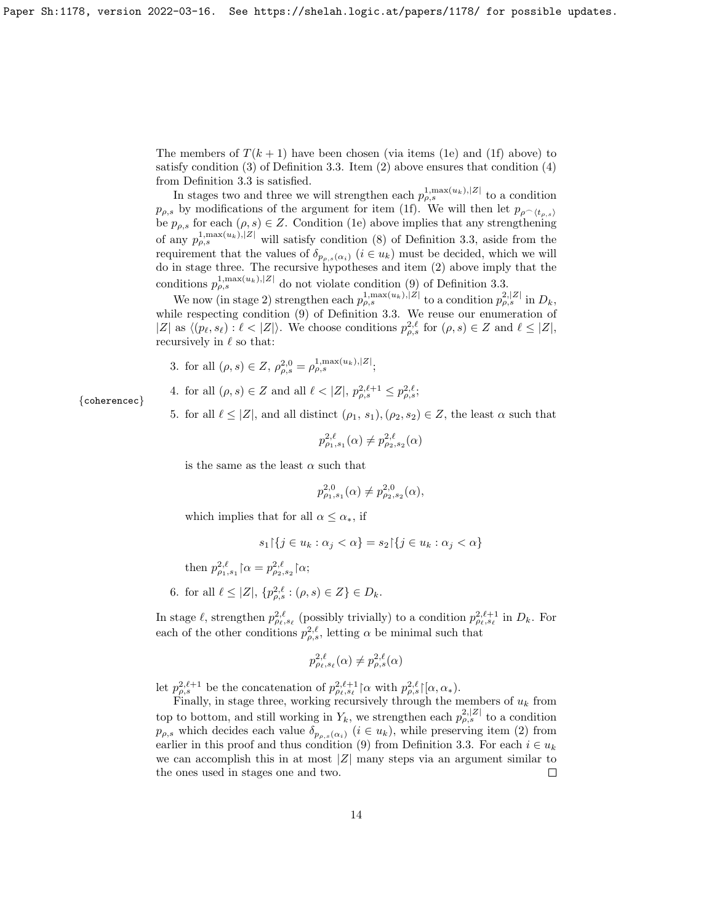The members of  $T(k + 1)$  have been chosen (via items (1e) and (1f) above) to satisfy condition  $(3)$  of Definition 3.3. Item  $(2)$  above ensures that condition  $(4)$ from Definition 3.3 is satisfied.

In stages two and three we will strengthen each  $p_{\rho,s}^{1,\max(u_k),|Z|}$  to a condition  $p_{\rho,s}$  by modifications of the argument for item (1f). We will then let  $p_{\rho}(\epsilon_{\rho,s})$ be  $p_{\rho,s}$  for each  $(\rho, s) \in \mathbb{Z}$ . Condition (1e) above implies that any strengthening of any  $p_{\rho,s}^{1,\max(u_k),|Z|}$  will satisfy condition (8) of Definition 3.3, aside from the requirement that the values of  $\delta_{p_{\rho,s}(\alpha_i)}$   $(i \in u_k)$  must be decided, which we will do in stage three. The recursive hypotheses and item (2) above imply that the conditions  $p_{\rho,s}^{1,\max(u_k),|Z|}$  do not violate condition (9) of Definition 3.3.

We now (in stage 2) strengthen each  $p_{\rho,s}^{1,\max(u_k),|Z|}$  to a condition  $p_{\rho,s}^{2,|Z|}$  in  $D_k$ , while respecting condition (9) of Definition 3.3. We reuse our enumeration of  $|Z|$  as  $\langle (p_\ell, s_\ell) : \ell < |Z| \rangle$ . We choose conditions  $p_{\rho,s}^{2,\ell}$  for  $(\rho, s) \in Z$  and  $\ell \leq |Z|$ , recursively in  $\ell$  so that:

- 3. for all  $(\rho, s) \in Z$ ,  $\rho_{\rho, s}^{2,0} = \rho_{\rho, s}^{1, \max(u_k), |Z|}$ ;
- 4. for all  $(\rho, s) \in Z$  and all  $\ell < |Z|, p_{\rho, s}^{2, \ell+1} \leq p_{\rho, s}^{2, \ell}$ ;
- 5. for all  $\ell \leq |Z|$ , and all distinct  $(\rho_1, s_1), (\rho_2, s_2) \in Z$ , the least  $\alpha$  such that

$$
p_{\rho_1, s_1}^{2, \ell}(\alpha) \neq p_{\rho_2, s_2}^{2, \ell}(\alpha)
$$

is the same as the least  $\alpha$  such that

$$
p_{\rho_1,s_1}^{2,0}(\alpha) \neq p_{\rho_2,s_2}^{2,0}(\alpha),
$$

which implies that for all  $\alpha \leq \alpha_*$ , if

$$
s_1 \upharpoonright \{ j \in u_k : \alpha_j < \alpha \} = s_2 \upharpoonright \{ j \in u_k : \alpha_j < \alpha \}
$$

then  $p_{\rho_1, s_1}^{2, \ell} \, \lceil \alpha = p_{\rho_2, s_2}^{2, \ell} \, \lceil \alpha;$ 

6. for all  $\ell \leq |Z|, \{p_{\rho,s}^{2,\ell} : (\rho,s) \in Z\} \in D_k$ .

In stage  $\ell$ , strengthen  $p_{\rho_\ell,s_\ell}^{2,\ell}$  (possibly trivially) to a condition  $p_{\rho_\ell,s_\ell}^{2,\ell+1}$  in  $D_k$ . For each of the other conditions  $p_{\rho,s}^{2,\ell}$ , letting  $\alpha$  be minimal such that

$$
p_{\rho_{\ell},s_{\ell}}^{2,\ell}(\alpha) \neq p_{\rho,s}^{2,\ell}(\alpha)
$$

let  $p_{\rho,s}^{2,\ell+1}$  be the concatenation of  $p_{\rho,\,s\ell}^{2,\ell+1}$  |  $\alpha$  with  $p_{\rho,s}^{2,\ell}$  |  $[\alpha,\alpha_*$ ).

Finally, in stage three, working recursively through the members of  $u_k$  from top to bottom, and still working in  $Y_k$ , we strengthen each  $p_{\rho,s}^{2,|Z|}$  to a condition  $p_{\rho,s}$  which decides each value  $\delta_{p_{\rho,s}(\alpha_i)}$   $(i \in u_k)$ , while preserving item (2) from earlier in this proof and thus condition (9) from Definition 3.3. For each  $i \in u_k$ we can accomplish this in at most  $|Z|$  many steps via an argument similar to the ones used in stages one and two.  $\Box$ 

{coherencec}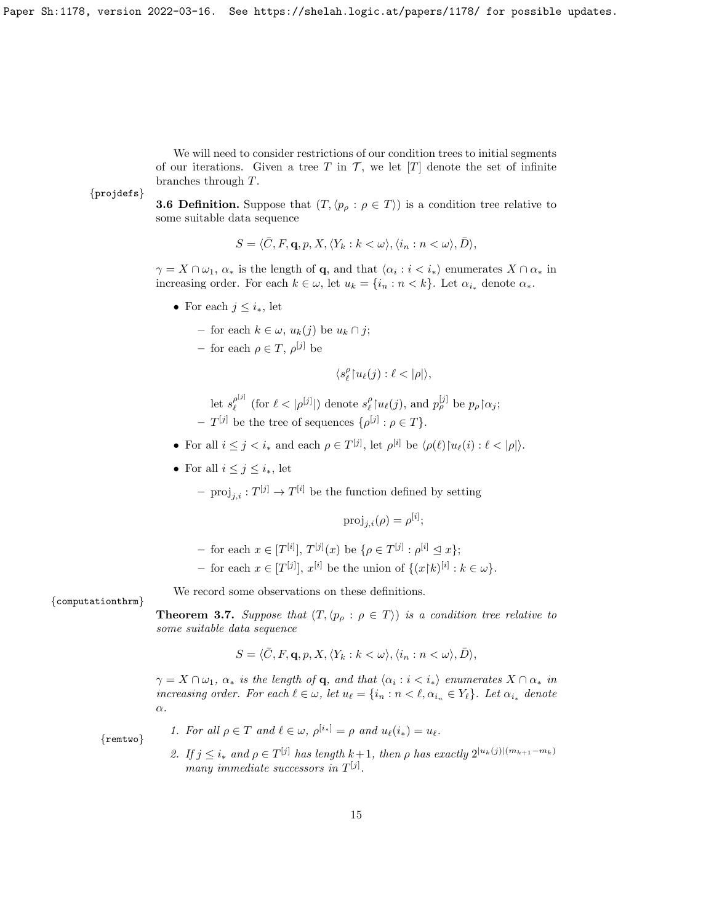We will need to consider restrictions of our condition trees to initial segments of our iterations. Given a tree T in  $\mathcal{T}$ , we let  $[T]$  denote the set of infinite branches through T.

{projdefs}

**3.6 Definition.** Suppose that  $(T, \langle p_{\rho} : \rho \in T \rangle)$  is a condition tree relative to some suitable data sequence

 $S = \langle \overline{C}, F, \mathbf{q}, p, X, \langle Y_k : k < \omega \rangle, \langle i_n : n < \omega \rangle, \overline{D} \rangle,$ 

 $\gamma = X \cap \omega_1, \, \alpha_*$  is the length of **q**, and that  $\langle \alpha_i : i \langle i_* \rangle$  enumerates  $X \cap \alpha_*$  in increasing order. For each  $k \in \omega$ , let  $u_k = \{i_n : n < k\}$ . Let  $\alpha_{i_{*}}$  denote  $\alpha_{*}$ .

- For each  $j \leq i_*$ , let
	- for each k ∈ ω, uk(j) be u<sup>k</sup> ∩ j;
	- for each  $\rho \in T$ ,  $\rho^{[j]}$  be

 $\langle s^\rho_\ell{\restriction} u_\ell(j):\ell<|\rho|\rangle,$ 

 $\mathrm{let}\,\, s_\ell^{\rho^{[j]}}$  $g_{\ell}^{\rho^{[j]}}$  (for  $\ell < |\rho^{[j]}|$ ) denote  $s_{\ell}^{\rho} {\upharpoonright} u_{\ell}(j)$ , and  $p_{\rho}^{[j]}$  be  $p_{\rho} {\upharpoonright} \alpha_j$ ;  $-T^{[j]}$  be the tree of sequences  $\{\rho^{[j]} : \rho \in T\}.$ 

- For all  $i \leq j < i_*$  and each  $\rho \in T^{[j]}$ , let  $\rho^{[i]}$  be  $\langle \rho(\ell) | u_\ell(i) : \ell < |\rho| \rangle$ .
- For all  $i \leq j \leq i_*$ , let

 $-$  proj<sub>j,i</sub>:  $T^{[j]} \to T^{[i]}$  be the function defined by setting

$$
\mathrm{proj}_{j,i}(\rho) = \rho^{[i]};
$$

- $-$  for each  $x \in [T^{[i]}], T^{[j]}(x)$  be  $\{\rho \in T^{[j]} : \rho^{[i]} \leq x\};$
- for each  $x \in [T^{[j]}], x^{[i]}$  be the union of  $\{(x[k)^{[i]} : k \in \omega\}.$

We record some observations on these definitions.

{computationthrm}

**Theorem 3.7.** Suppose that  $(T, \langle p_{\rho} : \rho \in T \rangle)$  is a condition tree relative to some suitable data sequence

$$
S = \langle \bar{C}, F, \mathbf{q}, p, X, \langle Y_k : k < \omega \rangle, \langle i_n : n < \omega \rangle, \bar{D} \rangle,
$$

 $\gamma = X \cap \omega_1$ ,  $\alpha_*$  is the length of **q**, and that  $\langle \alpha_i : i < i_* \rangle$  enumerates  $X \cap \alpha_*$  in increasing order. For each  $\ell \in \omega$ , let  $u_{\ell} = \{i_n : n < \ell, \alpha_{i_n} \in Y_{\ell}\}.$  Let  $\alpha_{i_{*}}$  denote α.

{remtwo}

- 1. For all  $\rho \in T$  and  $\ell \in \omega$ ,  $\rho^{[i_*]} = \rho$  and  $u_{\ell}(i_*) = u_{\ell}$ .
- 2. If  $j \leq i_*$  and  $\rho \in T^{[j]}$  has length  $k+1$ , then  $\rho$  has exactly  $2^{|u_k(j)| (m_{k+1}-m_k)}$ many immediate successors in  $T^{[j]}$ .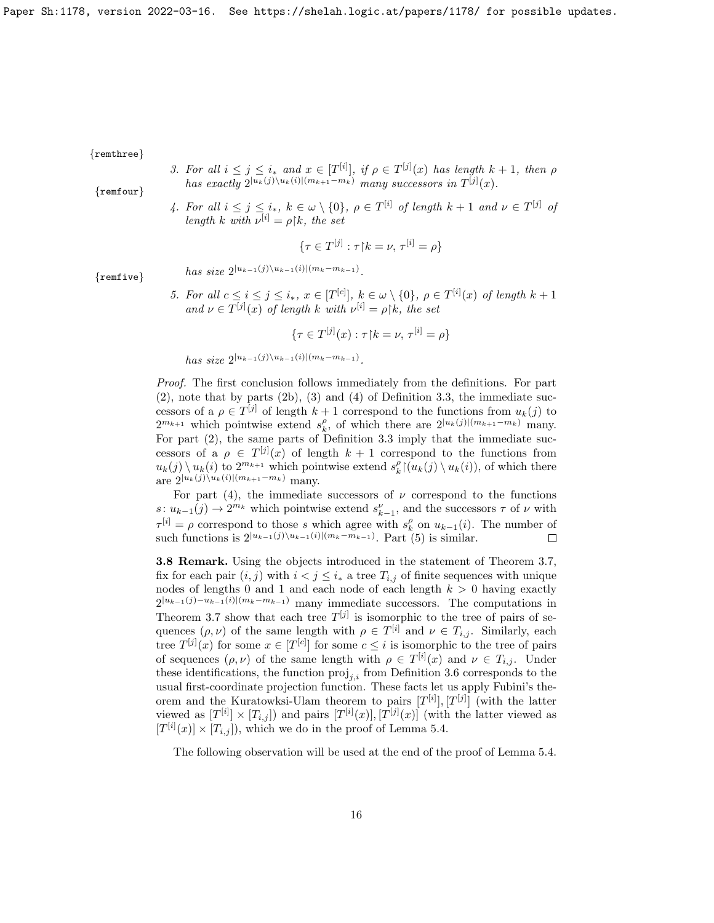{remthree}

3. For all  $i \leq j \leq i_*$  and  $x \in [T^{[i]}],$  if  $\rho \in T^{[j]}(x)$  has length  $k+1$ , then  $\rho$ has exactly  $2^{|u_k(j)\setminus u_k(i)|({m_{k+1}-m_k})}$  many successors in  $T^{[j]}(x)$ .

{remfour}

4. For all  $i \leq j \leq i_*$ ,  $k \in \omega \setminus \{0\}$ ,  $\rho \in T^{[i]}$  of length  $k+1$  and  $\nu \in T^{[j]}$  of length k with  $\nu^{[i]} = \rho | k$ , the set

$$
\{\tau \in T^{[j]} : \tau \mathord{\restriction} k = \nu, \, \tau^{[i]} = \rho\}
$$

{remfive}

- has size  $2^{|u_{k-1}(j)\setminus u_{k-1}(i)|(m_k-m_{k-1})}$ .
- 5. For all  $c \leq i \leq j \leq i_*$ ,  $x \in [T^{[c]}], k \in \omega \setminus \{0\}, \rho \in T^{[i]}(x)$  of length  $k+1$ and  $\nu \in T^{[j]}(x)$  of length k with  $\nu^{[i]} = \rho[k]$ , the set

$$
\{\tau \in T^{[j]}(x) : \tau \restriction k = \nu, \, \tau^{[i]} = \rho\}
$$

has size  $2^{|u_{k-1}(j)\setminus u_{k-1}(i)|(m_k-m_{k-1})}$ .

Proof. The first conclusion follows immediately from the definitions. For part (2), note that by parts (2b), (3) and (4) of Definition 3.3, the immediate successors of a  $\rho \in T^{[j]}$  of length  $k+1$  correspond to the functions from  $u_k(j)$  to  $2^{m_{k+1}}$  which pointwise extend  $s_k^{\rho}$ , of which there are  $2^{|u_k(j)|(m_{k+1}-m_k)}$  many. For part (2), the same parts of Definition 3.3 imply that the immediate successors of a  $\rho \in T^{[j]}(x)$  of length  $k+1$  correspond to the functions from  $u_k(j) \setminus u_k(i)$  to  $2^{m_{k+1}}$  which pointwise extend  $s_k^{\rho}(\overline{u}_k(j) \setminus u_k(i))$ , of which there are  $2^{|u_k(j)\setminus u_k(i)| (m_{k+1}-m_k)}$  many.

For part (4), the immediate successors of  $\nu$  correspond to the functions s:  $u_{k-1}(j)$  →  $2^{m_k}$  which pointwise extend  $s_{k-1}^{\nu}$ , and the successors  $\tau$  of  $\nu$  with  $\tau^{[i]} = \rho$  correspond to those s which agree with  $s_k^{\rho}$  on  $u_{k-1}(i)$ . The number of such functions is  $2^{|u_{k-1}(j)\setminus u_{k-1}(i)| (m_k-m_{k-1})}$ . Part (5) is similar.  $\Box$ 

3.8 Remark. Using the objects introduced in the statement of Theorem 3.7, fix for each pair  $(i, j)$  with  $i < j \leq i_*$  a tree  $T_{i,j}$  of finite sequences with unique nodes of lengths 0 and 1 and each node of each length  $k > 0$  having exactly  $2^{|u_{k-1}(j)-u_{k-1}(i)|(m_k-m_{k-1})}$  many immediate successors. The computations in Theorem 3.7 show that each tree  $T^{[j]}$  is isomorphic to the tree of pairs of sequences  $(\rho, \nu)$  of the same length with  $\rho \in T^{[i]}$  and  $\nu \in T_{i,j}$ . Similarly, each tree  $T^{[j]}(x)$  for some  $x \in [T^{[c]}]$  for some  $c \leq i$  is isomorphic to the tree of pairs of sequences  $(\rho, \nu)$  of the same length with  $\rho \in T^{[i]}(x)$  and  $\nu \in T_{i,j}$ . Under these identifications, the function  $proj_{i,i}$  from Definition 3.6 corresponds to the usual first-coordinate projection function. These facts let us apply Fubini's theorem and the Kuratowksi-Ulam theorem to pairs  $[T<sup>[i]</sup>], [T<sup>[j]</sup>]$  (with the latter viewed as  $[T^{[i]}] \times [T_{i,j}]$ ) and pairs  $[T^{[i]}(x)], [T^{[j]}(x)]$  (with the latter viewed as  $[T^{[i]}(x)] \times [T_{i,j}]$ , which we do in the proof of Lemma 5.4.

The following observation will be used at the end of the proof of Lemma 5.4.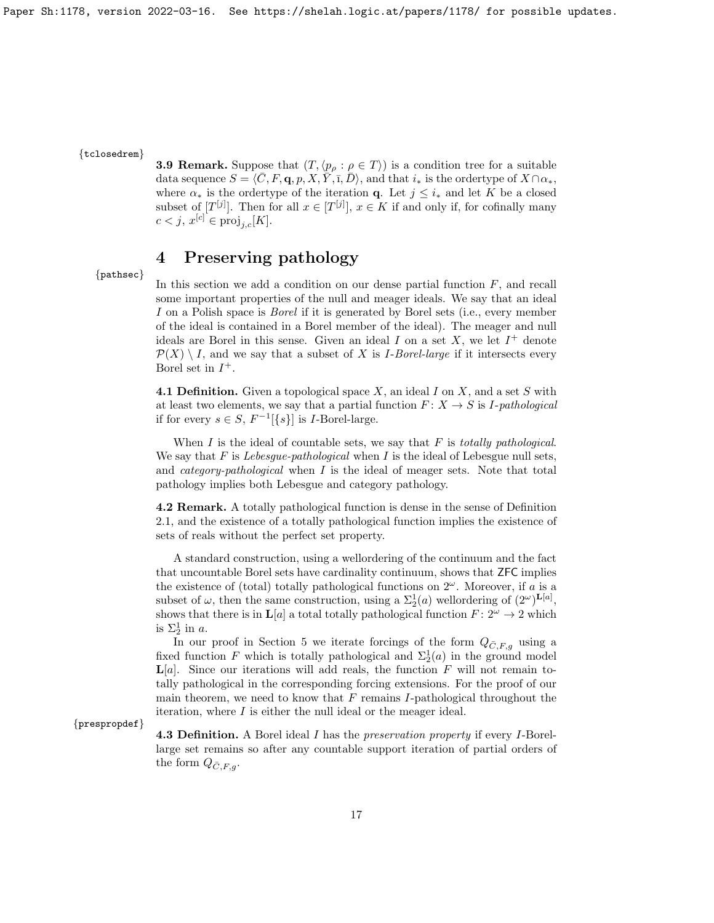### {tclosedrem}

**3.9 Remark.** Suppose that  $(T, \langle p \rangle : \rho \in T)$  is a condition tree for a suitable data sequence  $S = \langle \overline{C}, F, \mathbf{q}, p, X, \overline{Y}, \overline{1}, \overline{D} \rangle$ , and that  $i_*$  is the ordertype of  $X \cap \alpha_*,$ where  $\alpha_*$  is the ordertype of the iteration **q**. Let  $j \leq i_*$  and let K be a closed subset of  $[T^{[j]}]$ . Then for all  $x \in [T^{[j]}]$ ,  $x \in K$  if and only if, for cofinally many  $c < j, x^{[c]} \in \text{proj}_{j,c}[K].$ 

# 4 Preserving pathology

{pathsec}

In this section we add a condition on our dense partial function  $F$ , and recall some important properties of the null and meager ideals. We say that an ideal I on a Polish space is *Borel* if it is generated by Borel sets (i.e., every member of the ideal is contained in a Borel member of the ideal). The meager and null ideals are Borel in this sense. Given an ideal  $I$  on a set  $X$ , we let  $I^+$  denote  $\mathcal{P}(X) \setminus I$ , and we say that a subset of X is *I-Borel-large* if it intersects every Borel set in  $I^+$ .

**4.1 Definition.** Given a topological space  $X$ , an ideal  $I$  on  $X$ , and a set  $S$  with at least two elements, we say that a partial function  $F: X \to S$  is *I-pathological* if for every  $s \in S$ ,  $F^{-1}[\{s\}]$  is *I*-Borel-large.

When  $I$  is the ideal of countable sets, we say that  $F$  is totally pathological. We say that  $F$  is *Lebesgue-pathological* when  $I$  is the ideal of Lebesgue null sets, and *category-pathological* when  $I$  is the ideal of meager sets. Note that total pathology implies both Lebesgue and category pathology.

4.2 Remark. A totally pathological function is dense in the sense of Definition 2.1, and the existence of a totally pathological function implies the existence of sets of reals without the perfect set property.

A standard construction, using a wellordering of the continuum and the fact that uncountable Borel sets have cardinality continuum, shows that ZFC implies the existence of (total) totally pathological functions on  $2^{\omega}$ . Moreover, if a is a subset of  $\omega$ , then the same construction, using a  $\Sigma_2^1(a)$  wellordering of  $(2^{\omega})^{\mathbf{L}[a]}$ , shows that there is in  $\mathbf{L}[a]$  a total totally pathological function  $F: 2^{\omega} \to 2$  which is  $\Sigma_2^1$  in a.

In our proof in Section 5 we iterate forcings of the form  $Q_{\bar{C},F,g}$  using a fixed function F which is totally pathological and  $\Sigma_2^1(a)$  in the ground model  $\mathbf{L}[a]$ . Since our iterations will add reals, the function F will not remain totally pathological in the corresponding forcing extensions. For the proof of our main theorem, we need to know that  $F$  remains I-pathological throughout the iteration, where I is either the null ideal or the meager ideal.

{prespropdef}

4.3 Definition. A Borel ideal I has the preservation property if every I-Borellarge set remains so after any countable support iteration of partial orders of the form  $Q_{\bar{C},F,q}$ .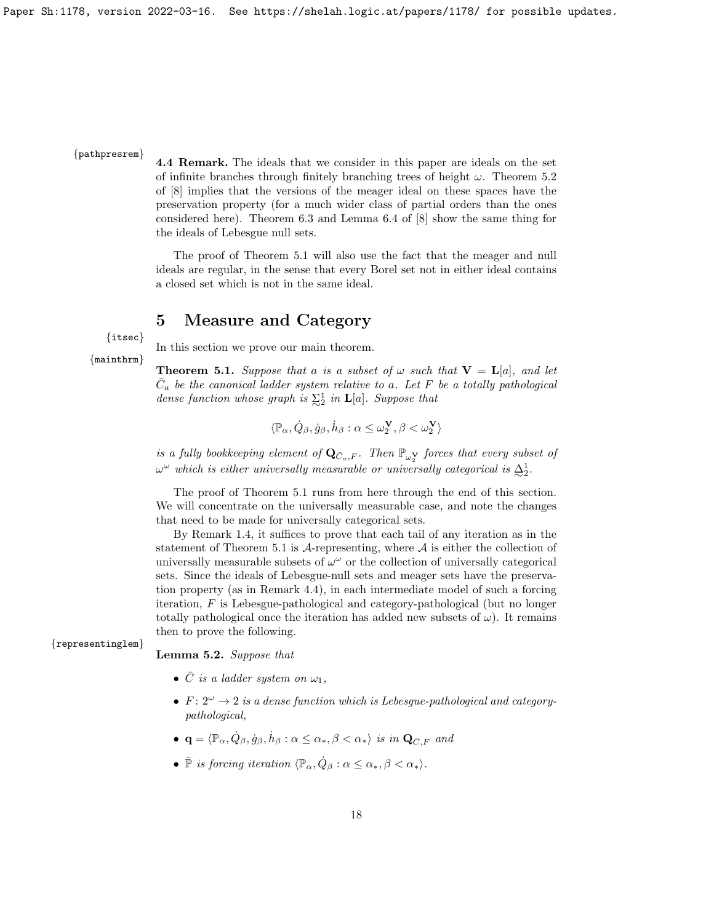### {pathpresrem}

4.4 Remark. The ideals that we consider in this paper are ideals on the set of infinite branches through finitely branching trees of height  $\omega$ . Theorem 5.2 of [8] implies that the versions of the meager ideal on these spaces have the preservation property (for a much wider class of partial orders than the ones considered here). Theorem 6.3 and Lemma 6.4 of [8] show the same thing for the ideals of Lebesgue null sets.

The proof of Theorem 5.1 will also use the fact that the meager and null ideals are regular, in the sense that every Borel set not in either ideal contains a closed set which is not in the same ideal.

## 5 Measure and Category

{itsec} {mainthrm}

In this section we prove our main theorem.

**Theorem 5.1.** Suppose that a is a subset of  $\omega$  such that  $V = L[a]$ , and let  $\overline{C}_a$  be the canonical ladder system relative to a. Let F be a totally pathological dense function whose graph is  $\sum_{i=1}^{n}$  in **L**[a]. Suppose that

$$
\langle \mathbb{P}_\alpha, \dot{Q}_\beta, \dot{g}_\beta, \dot{h}_\beta : \alpha \leq \omega_2^{\mathbf{V}}, \beta < \omega_2^{\mathbf{V}} \rangle
$$

is a fully bookkeeping element of  $\mathbf{Q}_{\bar{C}_a,F}$ . Then  $\mathbb{P}_{\omega_2^{\mathbf{V}}}$  forces that every subset of  $\omega^{\omega}$  which is either universally measurable or universally categorical is  $\Delta_2^1$ .

The proof of Theorem 5.1 runs from here through the end of this section. We will concentrate on the universally measurable case, and note the changes that need to be made for universally categorical sets.

By Remark 1.4, it suffices to prove that each tail of any iteration as in the statement of Theorem 5.1 is  $A$ -representing, where  $A$  is either the collection of universally measurable subsets of  $\omega^{\omega}$  or the collection of universally categorical sets. Since the ideals of Lebesgue-null sets and meager sets have the preservation property (as in Remark 4.4), in each intermediate model of such a forcing iteration, F is Lebesgue-pathological and category-pathological (but no longer totally pathological once the iteration has added new subsets of  $\omega$ ). It remains then to prove the following.

{representinglem}

Lemma 5.2. Suppose that

- $\overline{C}$  is a ladder system on  $\omega_1$ ,
- $F: 2^{\omega} \rightarrow 2$  is a dense function which is Lebesgue-pathological and categorypathological,
- $\mathbf{q} = \langle \mathbb{P}_{\alpha}, \dot{Q}_{\beta}, \dot{g}_{\beta}, \dot{h}_{\beta} : \alpha \leq \alpha_*, \beta < \alpha_* \rangle$  is in  $\mathbf{Q}_{\bar{C},F}$  and
- $\bar{\mathbb{P}}$  is forcing iteration  $\langle \mathbb{P}_{\alpha}, \dot{Q}_{\beta} : \alpha \leq \alpha_*, \beta < \alpha_* \rangle$ .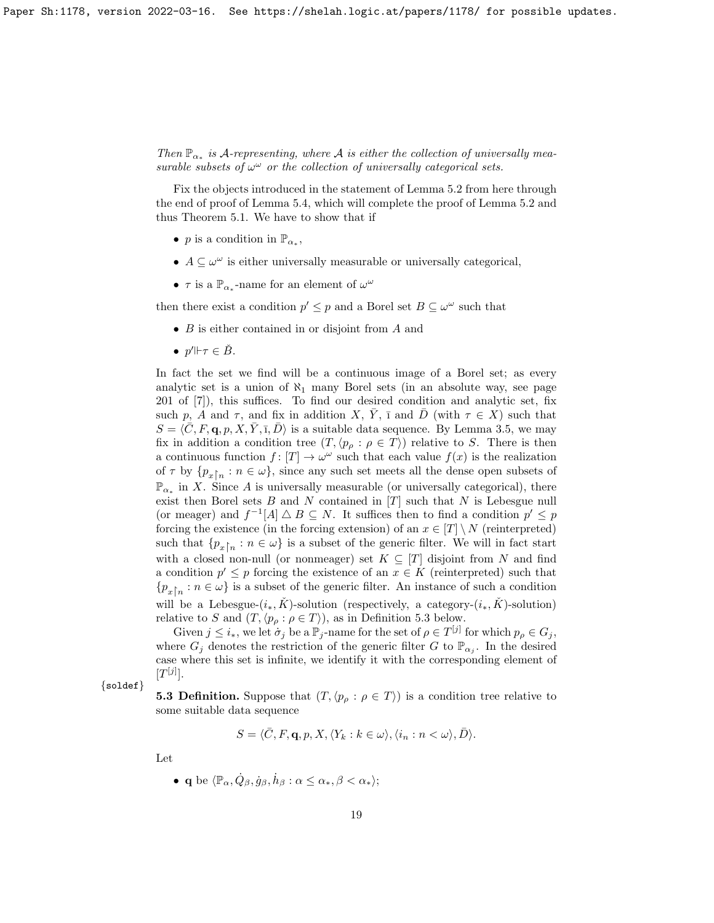Then  $\mathbb{P}_{\alpha_*}$  is A-representing, where A is either the collection of universally measurable subsets of  $\omega^{\omega}$  or the collection of universally categorical sets.

Fix the objects introduced in the statement of Lemma 5.2 from here through the end of proof of Lemma 5.4, which will complete the proof of Lemma 5.2 and thus Theorem 5.1. We have to show that if

- *p* is a condition in  $\mathbb{P}_{\alpha_*}$ ,
- $A \subseteq \omega^{\omega}$  is either universally measurable or universally categorical,
- $\tau$  is a  $\mathbb{P}_{\alpha^*}$ -name for an element of  $\omega^{\omega}$

then there exist a condition  $p' \leq p$  and a Borel set  $B \subseteq \omega^{\omega}$  such that

- B is either contained in or disjoint from A and
- $p' \Vdash \tau \in \check{B}$ .

In fact the set we find will be a continuous image of a Borel set; as every analytic set is a union of  $\aleph_1$  many Borel sets (in an absolute way, see page 201 of [7]), this suffices. To find our desired condition and analytic set, fix such p, A and  $\tau$ , and fix in addition X,  $\overline{Y}$ ,  $\overline{I}$  and  $\overline{D}$  (with  $\tau \in X$ ) such that  $S = \langle \bar{C}, F, \mathbf{q}, p, X, \bar{Y}, \bar{I}, \bar{D} \rangle$  is a suitable data sequence. By Lemma 3.5, we may fix in addition a condition tree  $(T, \langle p_{\rho} : \rho \in T \rangle)$  relative to S. There is then a continuous function  $f: [T] \to \omega^\omega$  such that each value  $f(x)$  is the realization of  $\tau$  by  $\{p_{x}\}$  :  $n \in \omega\}$ , since any such set meets all the dense open subsets of  $\mathbb{P}_{\alpha^*}$  in X. Since A is universally measurable (or universally categorical), there exist then Borel sets  $B$  and  $N$  contained in  $[T]$  such that  $N$  is Lebesgue null (or meager) and  $f^{-1}[A] \triangle B \subseteq N$ . It suffices then to find a condition  $p' \leq p$ forcing the existence (in the forcing extension) of an  $x \in [T] \setminus N$  (reinterpreted) such that  $\{p_{x}\}_{n} : n \in \omega\}$  is a subset of the generic filter. We will in fact start with a closed non-null (or nonmeager) set  $K \subseteq [T]$  disjoint from N and find a condition  $p' \leq p$  forcing the existence of an  $x \in K$  (reinterpreted) such that  ${p_x}_n : n \in \omega$  is a subset of the generic filter. An instance of such a condition will be a Lebesgue- $(i_*, K)$ -solution (respectively, a category- $(i_*, K)$ -solution) relative to S and  $(T, \langle p_{\rho} : \rho \in T \rangle)$ , as in Definition 5.3 below.

Given  $j \leq i_*$ , we let  $\sigma_j$  be a  $\mathbb{P}_j$ -name for the set of  $\rho \in T^{[j]}$  for which  $p_\rho \in G_j$ , where  $G_j$  denotes the restriction of the generic filter G to  $\mathbb{P}_{\alpha_j}$ . In the desired case where this set is infinite, we identify it with the corresponding element of  $[T^{[j]}].$ 

{soldef}

**5.3 Definition.** Suppose that  $(T, \langle p_{\rho} : \rho \in T \rangle)$  is a condition tree relative to some suitable data sequence

$$
S = \langle \bar{C}, F, \mathbf{q}, p, X, \langle Y_k : k \in \omega \rangle, \langle i_n : n < \omega \rangle, \bar{D} \rangle.
$$

Let

• q be  $\langle \mathbb{P}_{\alpha}, \dot{Q}_{\beta}, \dot{g}_{\beta}, \dot{h}_{\beta} : \alpha \leq \alpha_*, \beta < \alpha_*\rangle;$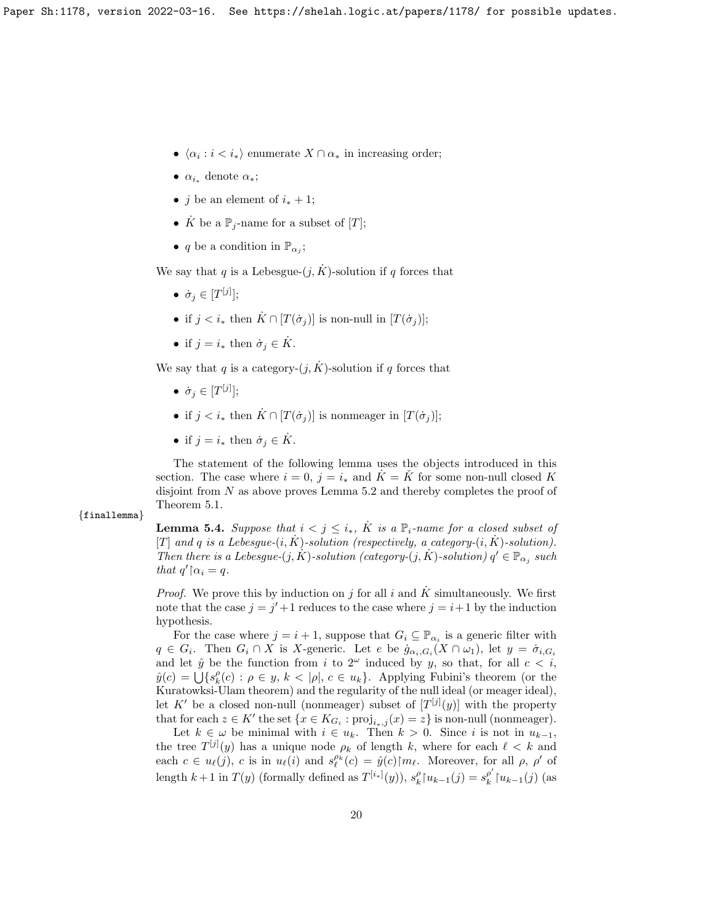- $\langle \alpha_i : i \langle i_* \rangle$  enumerate  $X \cap \alpha_*$  in increasing order;
- $\alpha_{i_*}$  denote  $\alpha_*$ ;
- *j* be an element of  $i_* + 1$ ;
- $\dot{K}$  be a  $\mathbb{P}_i$ -name for a subset of [T];
- q be a condition in  $\mathbb{P}_{\alpha_j}$ ;

We say that q is a Lebesgue- $(j, K)$ -solution if q forces that

- $\bullet \ \ \dot{\sigma}_j \in [T^{[j]}];$
- if  $j < i_*$  then  $\dot{K} \cap [T(\dot{\sigma}_i)]$  is non-null in  $[T(\dot{\sigma}_i)]$ ;
- if  $j = i_*$  then  $\dot{\sigma}_j \in \dot{K}$ .

We say that q is a category- $(j, K)$ -solution if q forces that

- $\bullet \ \ \dot{\sigma}_j \in [T^{[j]}];$
- if  $j < i_*$  then  $\dot{K} \cap [T(\dot{\sigma}_i)]$  is nonmeager in  $[T(\dot{\sigma}_i)]$ ;
- if  $j = i_*$  then  $\dot{\sigma}_j \in \dot{K}$ .

The statement of the following lemma uses the objects introduced in this section. The case where  $i = 0$ ,  $j = i_*$  and  $\tilde{K} = \tilde{K}$  for some non-null closed K disjoint from  $N$  as above proves Lemma 5.2 and thereby completes the proof of Theorem 5.1.

{finallemma}

**Lemma 5.4.** Suppose that  $i < j \leq i_*$ ,  $\dot{K}$  is a  $\mathbb{P}_i$ -name for a closed subset of [T] and q is a Lebesgue- $(i, K)$ -solution (respectively, a category- $(i, K)$ -solution). Then there is a Lebesgue- $(j, K)$ -solution (category- $(j, K)$ -solution)  $q' \in \mathbb{P}_{\alpha_j}$  such that  $q' \upharpoonright \alpha_i = q$ .

*Proof.* We prove this by induction on j for all i and K simultaneously. We first note that the case  $j = j' + 1$  reduces to the case where  $j = i + 1$  by the induction hypothesis.

For the case where  $j = i + 1$ , suppose that  $G_i \subseteq \mathbb{P}_{\alpha_i}$  is a generic filter with  $q \in G_i$ . Then  $G_i \cap X$  is X-generic. Let e be  $\dot{g}_{\alpha_i,G_i}(X \cap \omega_1)$ , let  $y = \dot{\sigma}_{i,G_i}$ and let  $\hat{y}$  be the function from i to  $2^{\omega}$  induced by y, so that, for all  $c < i$ ,  $\hat{y}(c) = \bigcup \{s_k^{\rho}(c) : \rho \in y, k < |\rho|, c \in u_k\}.$  Applying Fubini's theorem (or the Kuratowksi-Ulam theorem) and the regularity of the null ideal (or meager ideal), let K' be a closed non-null (nonmeager) subset of  $[T^{[j]}(y)]$  with the property that for each  $z \in K'$  the set  $\{x \in K_{G_i} : \text{proj}_{i*,j}(x) = z\}$  is non-null (nonmeager).

Let  $k \in \omega$  be minimal with  $i \in u_k$ . Then  $k > 0$ . Since i is not in  $u_{k-1}$ , the tree  $T^{[j]}(y)$  has a unique node  $\rho_k$  of length k, where for each  $\ell < k$  and each  $c \in u_\ell(j)$ , c is in  $u_\ell(i)$  and  $s_\ell^{\rho_k}(c) = \hat{y}(c) \upharpoonright m_\ell$ . Moreover, for all  $\rho$ ,  $\rho'$  of length  $k+1$  in  $T(y)$  (formally defined as  $T^{[i_*]}(y)$ ),  $s_k^{\rho} {\upharpoonright} u_{k-1}(j) = s_k^{\rho'}$  $_{k}^{\rho'}$ † $u_{k-1}(j)$  (as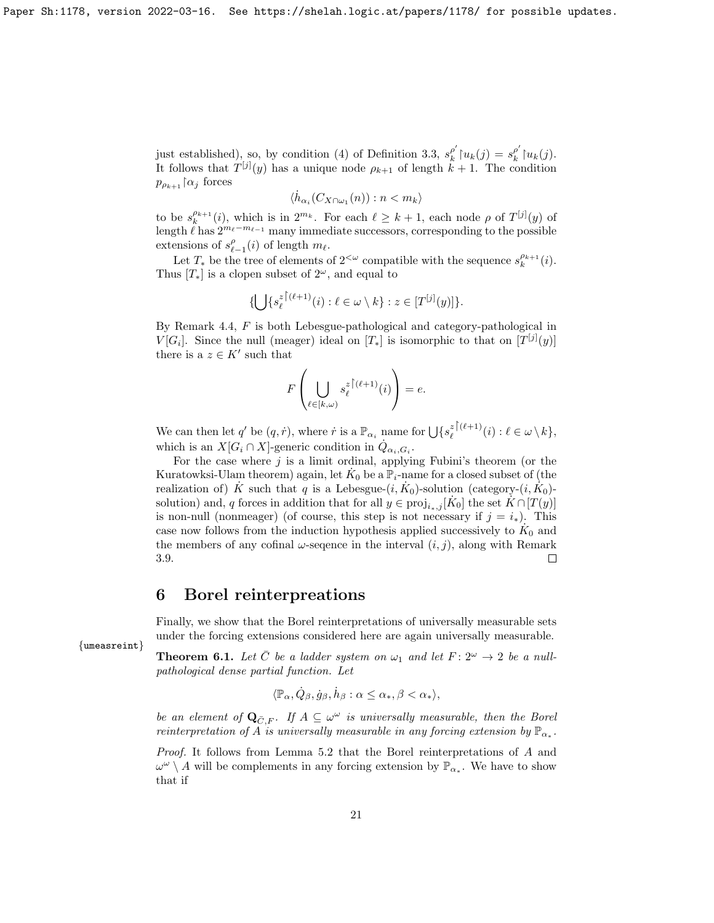just established), so, by condition (4) of Definition 3.3,  $s_k^{\rho'}$  $g_k^{\rho'}\upharpoonright u_k(j) = s_k^{\rho'}$  $_{k}^{\rho'}\!\upharpoonright\!\! u_{k}(j).$ It follows that  $T^{[j]}(y)$  has a unique node  $\rho_{k+1}$  of length  $k+1$ . The condition  $p_{\rho_{k+1}} \upharpoonright \alpha_j$  forces

$$
\langle \dot{h}_{\alpha_i}(C_{X\cap\omega_1}(n)) : n < m_k \rangle
$$

to be  $s_k^{\rho_{k+1}}(i)$ , which is in  $2^{m_k}$ . For each  $\ell \geq k+1$ , each node  $\rho$  of  $T^{[j]}(y)$  of length  $\ell$  has  $2^{m_{\ell}-m_{\ell-1}}$  many immediate successors, corresponding to the possible extensions of  $s_{\ell-1}^{\rho}(i)$  of length  $m_{\ell}$ .

Let  $T_*$  be the tree of elements of  $2<sup>{\omega}</sup>$ </sup> compatible with the sequence  $s_k^{\rho_{k+1}}(i)$ . Thus  $[T_*]$  is a clopen subset of  $2^{\omega}$ , and equal to

$$
\{\bigcup\{s_\ell^{z\,\big\lceil (\ell+1)}(i):\ell\in\omega\setminus k\}:z\in[T^{[j]}(y)]\}.
$$

By Remark 4.4, F is both Lebesgue-pathological and category-pathological in  $V[G_i]$ . Since the null (meager) ideal on  $[T_*]$  is isomorphic to that on  $[T^{[j]}(y)]$ there is a  $z \in K'$  such that

$$
F\left(\bigcup_{\ell\in[k,\omega)}s_{\ell}^{z\restriction(\ell+1)}(i)\right)=e.
$$

We can then let q' be  $(q, \dot{r})$ , where  $\dot{r}$  is a  $\mathbb{P}_{\alpha_i}$  name for  $\bigcup \{s_{\ell}^z\}^{(\ell+1)}$  $\ell^{\frac{z}{\ell} + 1}(i) : \ell \in \omega \setminus k,$ which is an  $X[G_i \cap X]$ -generic condition in  $\dot{Q}_{\alpha_i,G_i}$ .

For the case where  $j$  is a limit ordinal, applying Fubini's theorem (or the Kuratowksi-Ulam theorem) again, let  $\dot{K}_0$  be a  $\mathbb{P}_i$ -name for a closed subset of (the realization of)  $\dot{K}$  such that q is a Lebesgue- $(i, \dot{K}_0)$ -solution (category- $(i, \dot{K}_0)$ solution) and, q forces in addition that for all  $y \in \text{proj}_{i_*,j}[K_0]$  the set  $K \cap [T(y)]$ is non-null (nonmeager) (of course, this step is not necessary if  $j = i_*$ ). This case now follows from the induction hypothesis applied successively to  $K_0$  and the members of any cofinal  $\omega$ -sequence in the interval  $(i, j)$ , along with Remark 3.9.  $\Box$ 

# 6 Borel reinterpreations

Finally, we show that the Borel reinterpretations of universally measurable sets under the forcing extensions considered here are again universally measurable.

**Theorem 6.1.** Let  $\overline{C}$  be a ladder system on  $\omega_1$  and let  $F : 2^{\omega} \to 2$  be a nullpathological dense partial function. Let

$$
\langle \mathbb{P}_{\alpha}, \dot{Q}_{\beta}, \dot{g}_{\beta}, \dot{h}_{\beta} : \alpha \le \alpha_*, \beta < \alpha_* \rangle,
$$

be an element of  $\mathbf{Q}_{\bar{C},F}$ . If  $A \subseteq \omega^{\omega}$  is universally measurable, then the Borel reinterpretation of A is universally measurable in any forcing extension by  $\mathbb{P}_{\alpha^*}$ .

Proof. It follows from Lemma 5.2 that the Borel reinterpretations of A and  $\omega^{\omega} \setminus A$  will be complements in any forcing extension by  $\mathbb{P}_{\alpha^*}$ . We have to show that if

{umeasreint}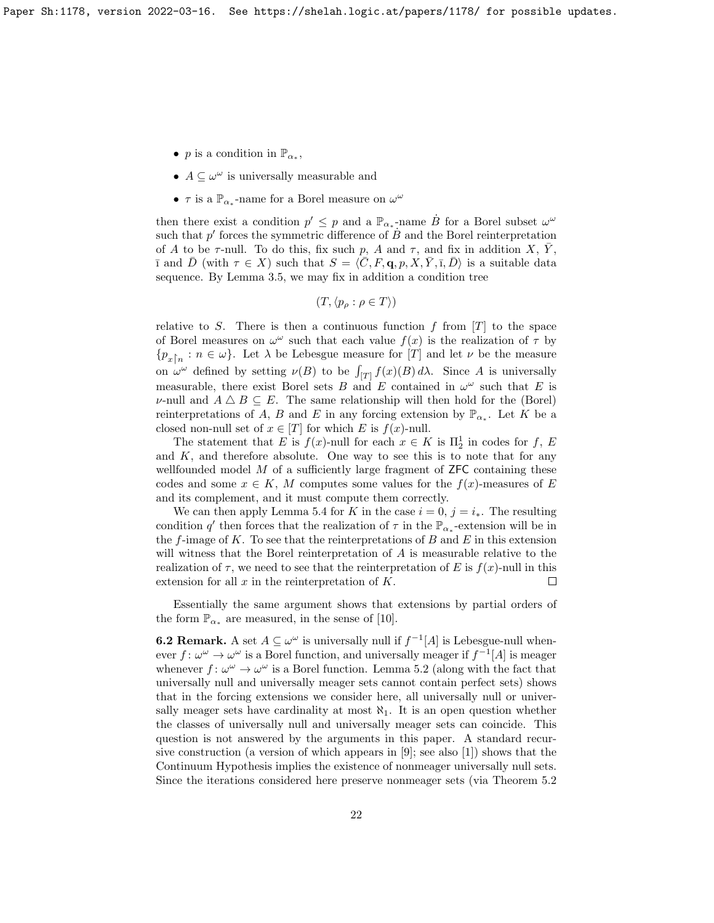- *p* is a condition in  $\mathbb{P}_{\alpha_*}$ ,
- $A \subseteq \omega^{\omega}$  is universally measurable and
- $\bullet\,$   $\tau$  is a  $\mathbb{P}_{\alpha_*}$  -name for a Borel measure on  $\omega^\omega$

then there exist a condition  $p' \leq p$  and a  $\mathbb{P}_{\alpha_*}$ -name  $\dot{B}$  for a Borel subset  $\omega^{\omega}$ such that  $p'$  forces the symmetric difference of  $\dot{B}$  and the Borel reinterpretation of A to be  $\tau$ -null. To do this, fix such p, A and  $\tau$ , and fix in addition X,  $\bar{Y}$ ,  $\bar{I}$  and  $\bar{D}$  (with  $\tau \in X$ ) such that  $S = \langle \bar{C}, F, \mathbf{q}, p, X, \bar{Y}, \bar{I}, \bar{D} \rangle$  is a suitable data sequence. By Lemma 3.5, we may fix in addition a condition tree

$$
(T, \langle p_{\rho} : \rho \in T \rangle)
$$

relative to S. There is then a continuous function f from  $[T]$  to the space of Borel measures on  $\omega^{\omega}$  such that each value  $f(x)$  is the realization of  $\tau$  by  ${p_x}_n : n \in \omega$ . Let  $\lambda$  be Lebesgue measure for [T] and let  $\nu$  be the measure on  $\omega^{\omega}$  defined by setting  $\nu(B)$  to be  $\int_{[T]} f(x)(B) d\lambda$ . Since A is universally measurable, there exist Borel sets B and E contained in  $\omega^{\omega}$  such that E is v-null and  $A \triangle B \subseteq E$ . The same relationship will then hold for the (Borel) reinterpretations of A, B and E in any forcing extension by  $\mathbb{P}_{\alpha^*}$ . Let K be a closed non-null set of  $x \in [T]$  for which E is  $f(x)$ -null.

The statement that E is  $f(x)$ -null for each  $x \in K$  is  $\Pi_2^1$  in codes for f, E and  $K$ , and therefore absolute. One way to see this is to note that for any wellfounded model  $M$  of a sufficiently large fragment of **ZFC** containing these codes and some  $x \in K$ , M computes some values for the  $f(x)$ -measures of E and its complement, and it must compute them correctly.

We can then apply Lemma 5.4 for K in the case  $i = 0$ ,  $j = i_*$ . The resulting condition q' then forces that the realization of  $\tau$  in the  $\mathbb{P}_{\alpha^*}$ -extension will be in the f-image of K. To see that the reinterpretations of B and E in this extension will witness that the Borel reinterpretation of A is measurable relative to the realization of  $\tau$ , we need to see that the reinterpretation of E is  $f(x)$ -null in this extension for all  $x$  in the reinterpretation of  $K$ .  $\Box$ 

Essentially the same argument shows that extensions by partial orders of the form  $\mathbb{P}_{\alpha_*}$  are measured, in the sense of [10].

**6.2 Remark.** A set  $A \subseteq \omega^{\omega}$  is universally null if  $f^{-1}[A]$  is Lebesgue-null whenever  $f: \omega^{\omega} \to \omega^{\omega}$  is a Borel function, and universally meager if  $f^{-1}[A]$  is meager whenever  $f: \omega^{\omega} \to \omega^{\omega}$  is a Borel function. Lemma 5.2 (along with the fact that universally null and universally meager sets cannot contain perfect sets) shows that in the forcing extensions we consider here, all universally null or universally meager sets have cardinality at most  $\aleph_1$ . It is an open question whether the classes of universally null and universally meager sets can coincide. This question is not answered by the arguments in this paper. A standard recursive construction (a version of which appears in [9]; see also [1]) shows that the Continuum Hypothesis implies the existence of nonmeager universally null sets. Since the iterations considered here preserve nonmeager sets (via Theorem 5.2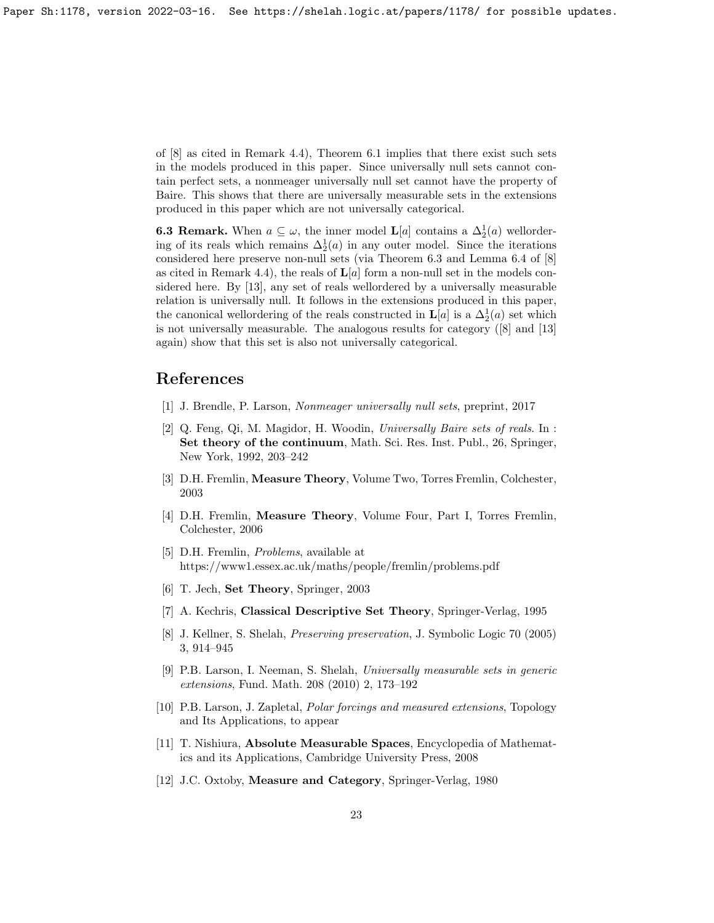of [8] as cited in Remark 4.4), Theorem 6.1 implies that there exist such sets in the models produced in this paper. Since universally null sets cannot contain perfect sets, a nonmeager universally null set cannot have the property of Baire. This shows that there are universally measurable sets in the extensions produced in this paper which are not universally categorical.

**6.3 Remark.** When  $a \subseteq \omega$ , the inner model **L**[a] contains a  $\Delta_2^1(a)$  wellordering of its reals which remains  $\Delta_2^1(a)$  in any outer model. Since the iterations considered here preserve non-null sets (via Theorem 6.3 and Lemma 6.4 of [8] as cited in Remark 4.4), the reals of  $\mathbf{L}[a]$  form a non-null set in the models considered here. By [13], any set of reals wellordered by a universally measurable relation is universally null. It follows in the extensions produced in this paper, the canonical wellordering of the reals constructed in  $\mathbf{L}[a]$  is a  $\Delta_2^1(a)$  set which is not universally measurable. The analogous results for category ([8] and [13] again) show that this set is also not universally categorical.

# References

- [1] J. Brendle, P. Larson, Nonmeager universally null sets, preprint, 2017
- [2] Q. Feng, Qi, M. Magidor, H. Woodin, Universally Baire sets of reals. In : Set theory of the continuum, Math. Sci. Res. Inst. Publ., 26, Springer, New York, 1992, 203–242
- [3] D.H. Fremlin, Measure Theory, Volume Two, Torres Fremlin, Colchester, 2003
- [4] D.H. Fremlin, Measure Theory, Volume Four, Part I, Torres Fremlin, Colchester, 2006
- [5] D.H. Fremlin, Problems, available at https://www1.essex.ac.uk/maths/people/fremlin/problems.pdf
- [6] T. Jech, Set Theory, Springer, 2003
- [7] A. Kechris, Classical Descriptive Set Theory, Springer-Verlag, 1995
- [8] J. Kellner, S. Shelah, Preserving preservation, J. Symbolic Logic 70 (2005) 3, 914–945
- [9] P.B. Larson, I. Neeman, S. Shelah, Universally measurable sets in generic extensions, Fund. Math. 208 (2010) 2, 173–192
- [10] P.B. Larson, J. Zapletal, Polar forcings and measured extensions, Topology and Its Applications, to appear
- [11] T. Nishiura, Absolute Measurable Spaces, Encyclopedia of Mathematics and its Applications, Cambridge University Press, 2008
- [12] J.C. Oxtoby, Measure and Category, Springer-Verlag, 1980